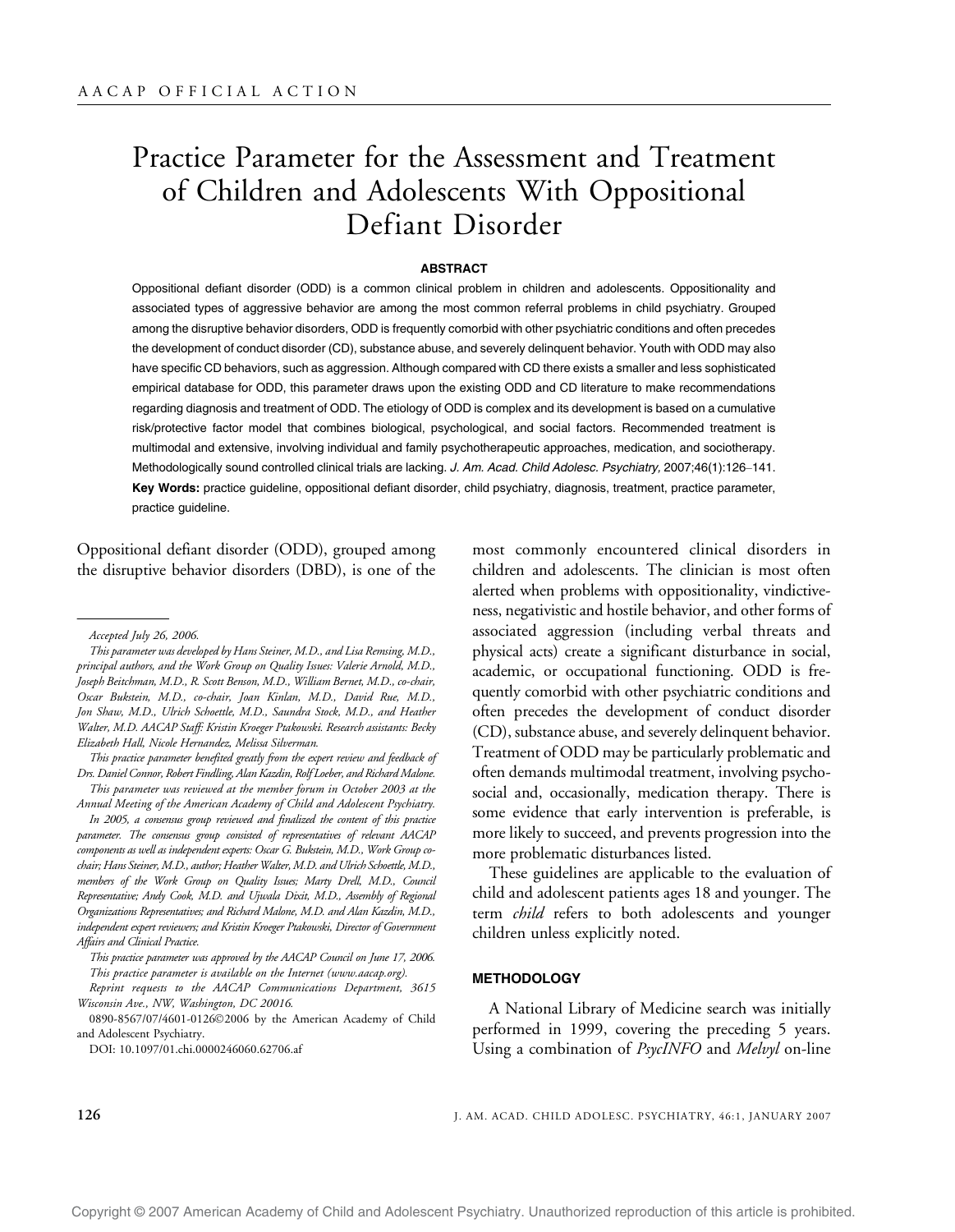# Practice Parameter for the Assessment and Treatment of Children and Adolescents With Oppositional Defiant Disorder

## ABSTRACT

Oppositional defiant disorder (ODD) is a common clinical problem in children and adolescents. Oppositionality and associated types of aggressive behavior are among the most common referral problems in child psychiatry. Grouped among the disruptive behavior disorders, ODD is frequently comorbid with other psychiatric conditions and often precedes the development of conduct disorder (CD), substance abuse, and severely delinquent behavior. Youth with ODD may also have specific CD behaviors, such as aggression. Although compared with CD there exists a smaller and less sophisticated empirical database for ODD, this parameter draws upon the existing ODD and CD literature to make recommendations regarding diagnosis and treatment of ODD. The etiology of ODD is complex and its development is based on a cumulative risk/protective factor model that combines biological, psychological, and social factors. Recommended treatment is multimodal and extensive, involving individual and family psychotherapeutic approaches, medication, and sociotherapy. Methodologically sound controlled clinical trials are lacking. J. Am. Acad. Child Adolesc. Psychiatry, 2007;46(1):126-141. Key Words: practice guideline, oppositional defiant disorder, child psychiatry, diagnosis, treatment, practice parameter, practice guideline.

Oppositional defiant disorder (ODD), grouped among the disruptive behavior disorders (DBD), is one of the

This parameter was developed by Hans Steiner, M.D., and Lisa Remsing, M.D., principal authors, and the Work Group on Quality Issues: Valerie Arnold, M.D., Joseph Beitchman, M.D., R. Scott Benson, M.D., William Bernet, M.D., co-chair, Oscar Bukstein, M.D., co-chair, Joan Kinlan, M.D., David Rue, M.D., Jon Shaw, M.D., Ulrich Schoettle, M.D., Saundra Stock, M.D., and Heather Walter, M.D. AACAP Staff: Kristin Kroeger Ptakowski. Research assistants: Becky Elizabeth Hall, Nicole Hernandez, Melissa Silverman.

This practice parameter benefited greatly from the expert review and feedback of Drs. Daniel Connor, Robert Findling, Alan Kazdin, Rolf Loeber, and Richard Malone. This parameter was reviewed at the member forum in October 2003 at the

Annual Meeting of the American Academy of Child and Adolescent Psychiatry. In 2005, a consensus group reviewed and finalized the content of this practice

parameter. The consensus group consisted of representatives of relevant AACAP components as well as independent experts: Oscar G. Bukstein, M.D., Work Group cochair; Hans Steiner, M.D., author; Heather Walter, M.D. and Ulrich Schoettle, M.D., members of the Work Group on Quality Issues; Marty Drell, M.D., Council Representative; Andy Cook, M.D. and Ujwala Dixit, M.D., Assembly of Regional Organizations Representatives; and Richard Malone, M.D. and Alan Kazdin, M.D., independent expert reviewers; and Kristin Kroeger Ptakowski, Director of Government Affairs and Clinical Practice.

DOI: 10.1097/01.chi.0000246060.62706.af

most commonly encountered clinical disorders in children and adolescents. The clinician is most often alerted when problems with oppositionality, vindictiveness, negativistic and hostile behavior, and other forms of associated aggression (including verbal threats and physical acts) create a significant disturbance in social, academic, or occupational functioning. ODD is frequently comorbid with other psychiatric conditions and often precedes the development of conduct disorder (CD), substance abuse, and severely delinquent behavior. Treatment of ODD may be particularly problematic and often demands multimodal treatment, involving psychosocial and, occasionally, medication therapy. There is some evidence that early intervention is preferable, is more likely to succeed, and prevents progression into the more problematic disturbances listed.

These guidelines are applicable to the evaluation of child and adolescent patients ages 18 and younger. The term *child* refers to both adolescents and younger children unless explicitly noted.

#### **METHODOLOGY**

A National Library of Medicine search was initially performed in 1999, covering the preceding 5 years. Using a combination of PsycINFO and Melvyl on-line

Accepted July 26, 2006.

This practice parameter was approved by the AACAP Council on June 17, 2006. This practice parameter is available on the Internet (www.aacap.org).

Reprint requests to the AACAP Communications Department, 3615 Wisconsin Ave., NW, Washington, DC 20016.

<sup>0890-8567/07/4601-0126©2006</sup> by the American Academy of Child and Adolescent Psychiatry.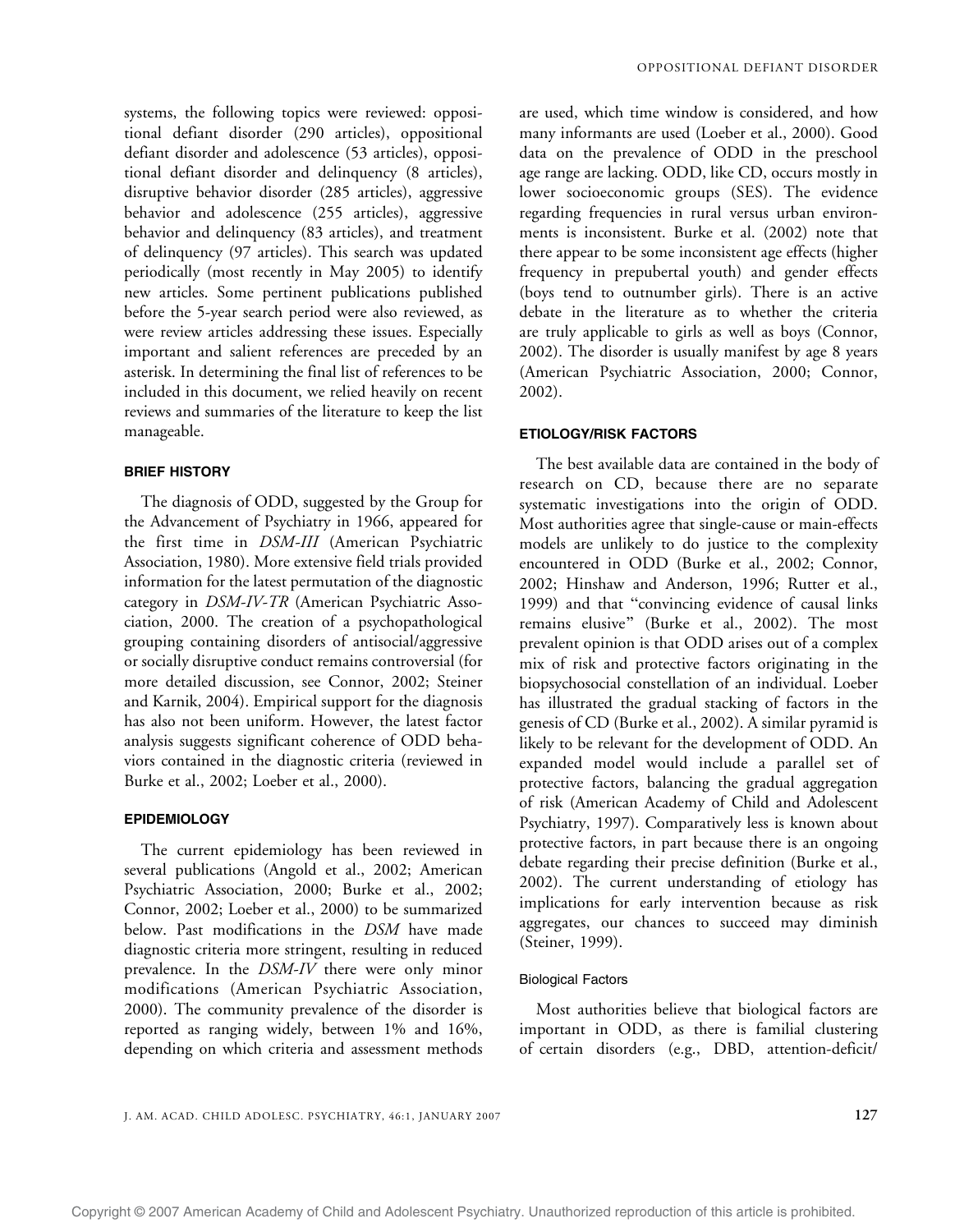systems, the following topics were reviewed: oppositional defiant disorder (290 articles), oppositional defiant disorder and adolescence (53 articles), oppositional defiant disorder and delinquency (8 articles), disruptive behavior disorder (285 articles), aggressive behavior and adolescence (255 articles), aggressive behavior and delinquency (83 articles), and treatment of delinquency (97 articles). This search was updated periodically (most recently in May 2005) to identify new articles. Some pertinent publications published before the 5-year search period were also reviewed, as were review articles addressing these issues. Especially important and salient references are preceded by an asterisk. In determining the final list of references to be included in this document, we relied heavily on recent reviews and summaries of the literature to keep the list manageable.

#### BRIEF HISTORY

The diagnosis of ODD, suggested by the Group for the Advancement of Psychiatry in 1966, appeared for the first time in DSM-III (American Psychiatric Association, 1980). More extensive field trials provided information for the latest permutation of the diagnostic category in DSM-IV-TR (American Psychiatric Association, 2000. The creation of a psychopathological grouping containing disorders of antisocial/aggressive or socially disruptive conduct remains controversial (for more detailed discussion, see Connor, 2002; Steiner and Karnik, 2004). Empirical support for the diagnosis has also not been uniform. However, the latest factor analysis suggests significant coherence of ODD behaviors contained in the diagnostic criteria (reviewed in Burke et al., 2002; Loeber et al., 2000).

### **EPIDEMIOLOGY**

The current epidemiology has been reviewed in several publications (Angold et al., 2002; American Psychiatric Association, 2000; Burke et al., 2002; Connor, 2002; Loeber et al., 2000) to be summarized below. Past modifications in the DSM have made diagnostic criteria more stringent, resulting in reduced prevalence. In the DSM-IV there were only minor modifications (American Psychiatric Association, 2000). The community prevalence of the disorder is reported as ranging widely, between 1% and 16%, depending on which criteria and assessment methods are used, which time window is considered, and how many informants are used (Loeber et al., 2000). Good data on the prevalence of ODD in the preschool age range are lacking. ODD, like CD, occurs mostly in lower socioeconomic groups (SES). The evidence regarding frequencies in rural versus urban environments is inconsistent. Burke et al. (2002) note that there appear to be some inconsistent age effects (higher frequency in prepubertal youth) and gender effects (boys tend to outnumber girls). There is an active debate in the literature as to whether the criteria are truly applicable to girls as well as boys (Connor, 2002). The disorder is usually manifest by age 8 years (American Psychiatric Association, 2000; Connor, 2002).

# ETIOLOGY/RISK FACTORS

The best available data are contained in the body of research on CD, because there are no separate systematic investigations into the origin of ODD. Most authorities agree that single-cause or main-effects models are unlikely to do justice to the complexity encountered in ODD (Burke et al., 2002; Connor, 2002; Hinshaw and Anderson, 1996; Rutter et al., 1999) and that "convincing evidence of causal links remains elusive" (Burke et al., 2002). The most prevalent opinion is that ODD arises out of a complex mix of risk and protective factors originating in the biopsychosocial constellation of an individual. Loeber has illustrated the gradual stacking of factors in the genesis of CD (Burke et al., 2002). A similar pyramid is likely to be relevant for the development of ODD. An expanded model would include a parallel set of protective factors, balancing the gradual aggregation of risk (American Academy of Child and Adolescent Psychiatry, 1997). Comparatively less is known about protective factors, in part because there is an ongoing debate regarding their precise definition (Burke et al., 2002). The current understanding of etiology has implications for early intervention because as risk aggregates, our chances to succeed may diminish (Steiner, 1999).

# Biological Factors

Most authorities believe that biological factors are important in ODD, as there is familial clustering of certain disorders (e.g., DBD, attention-deficit/

J. AM. ACAD. CHILD ADOLESC. PSYCHIATRY, 46:1, JANUARY 2007 127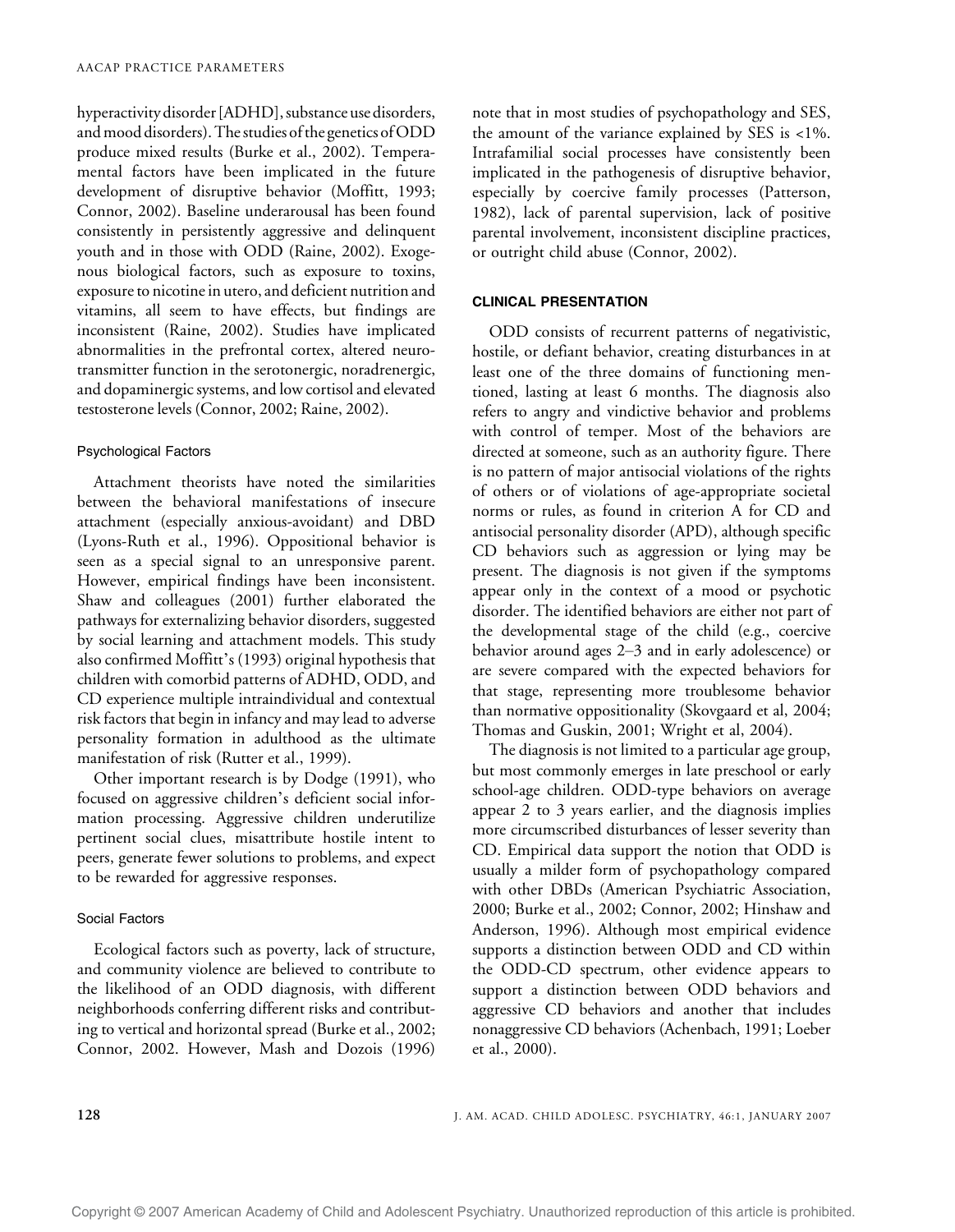hyperactivity disorder [ADHD], substance use disorders, and mood disorders). The studies of the genetics of ODD produce mixed results (Burke et al., 2002). Temperamental factors have been implicated in the future development of disruptive behavior (Moffitt, 1993; Connor, 2002). Baseline underarousal has been found consistently in persistently aggressive and delinquent youth and in those with ODD (Raine, 2002). Exogenous biological factors, such as exposure to toxins, exposure to nicotine in utero, and deficient nutrition and vitamins, all seem to have effects, but findings are inconsistent (Raine, 2002). Studies have implicated abnormalities in the prefrontal cortex, altered neurotransmitter function in the serotonergic, noradrenergic, and dopaminergic systems, and low cortisol and elevated testosterone levels (Connor, 2002; Raine, 2002).

#### Psychological Factors

Attachment theorists have noted the similarities between the behavioral manifestations of insecure attachment (especially anxious-avoidant) and DBD (Lyons-Ruth et al., 1996). Oppositional behavior is seen as a special signal to an unresponsive parent. However, empirical findings have been inconsistent. Shaw and colleagues (2001) further elaborated the pathways for externalizing behavior disorders, suggested by social learning and attachment models. This study also confirmed Moffitt's (1993) original hypothesis that children with comorbid patterns of ADHD, ODD, and CD experience multiple intraindividual and contextual risk factors that begin in infancy and may lead to adverse personality formation in adulthood as the ultimate manifestation of risk (Rutter et al., 1999).

Other important research is by Dodge (1991), who focused on aggressive children's deficient social information processing. Aggressive children underutilize pertinent social clues, misattribute hostile intent to peers, generate fewer solutions to problems, and expect to be rewarded for aggressive responses.

#### Social Factors

Ecological factors such as poverty, lack of structure, and community violence are believed to contribute to the likelihood of an ODD diagnosis, with different neighborhoods conferring different risks and contributing to vertical and horizontal spread (Burke et al., 2002; Connor, 2002. However, Mash and Dozois (1996)

note that in most studies of psychopathology and SES, the amount of the variance explained by SES is <1%. Intrafamilial social processes have consistently been implicated in the pathogenesis of disruptive behavior, especially by coercive family processes (Patterson, 1982), lack of parental supervision, lack of positive parental involvement, inconsistent discipline practices, or outright child abuse (Connor, 2002).

#### CLINICAL PRESENTATION

ODD consists of recurrent patterns of negativistic, hostile, or defiant behavior, creating disturbances in at least one of the three domains of functioning mentioned, lasting at least 6 months. The diagnosis also refers to angry and vindictive behavior and problems with control of temper. Most of the behaviors are directed at someone, such as an authority figure. There is no pattern of major antisocial violations of the rights of others or of violations of age-appropriate societal norms or rules, as found in criterion A for CD and antisocial personality disorder (APD), although specific CD behaviors such as aggression or lying may be present. The diagnosis is not given if the symptoms appear only in the context of a mood or psychotic disorder. The identified behaviors are either not part of the developmental stage of the child (e.g., coercive behavior around ages  $2-3$  and in early adolescence) or are severe compared with the expected behaviors for that stage, representing more troublesome behavior than normative oppositionality (Skovgaard et al, 2004; Thomas and Guskin, 2001; Wright et al, 2004).

The diagnosis is not limited to a particular age group, but most commonly emerges in late preschool or early school-age children. ODD-type behaviors on average appear 2 to 3 years earlier, and the diagnosis implies more circumscribed disturbances of lesser severity than CD. Empirical data support the notion that ODD is usually a milder form of psychopathology compared with other DBDs (American Psychiatric Association, 2000; Burke et al., 2002; Connor, 2002; Hinshaw and Anderson, 1996). Although most empirical evidence supports a distinction between ODD and CD within the ODD-CD spectrum, other evidence appears to support a distinction between ODD behaviors and aggressive CD behaviors and another that includes nonaggressive CD behaviors (Achenbach, 1991; Loeber et al., 2000).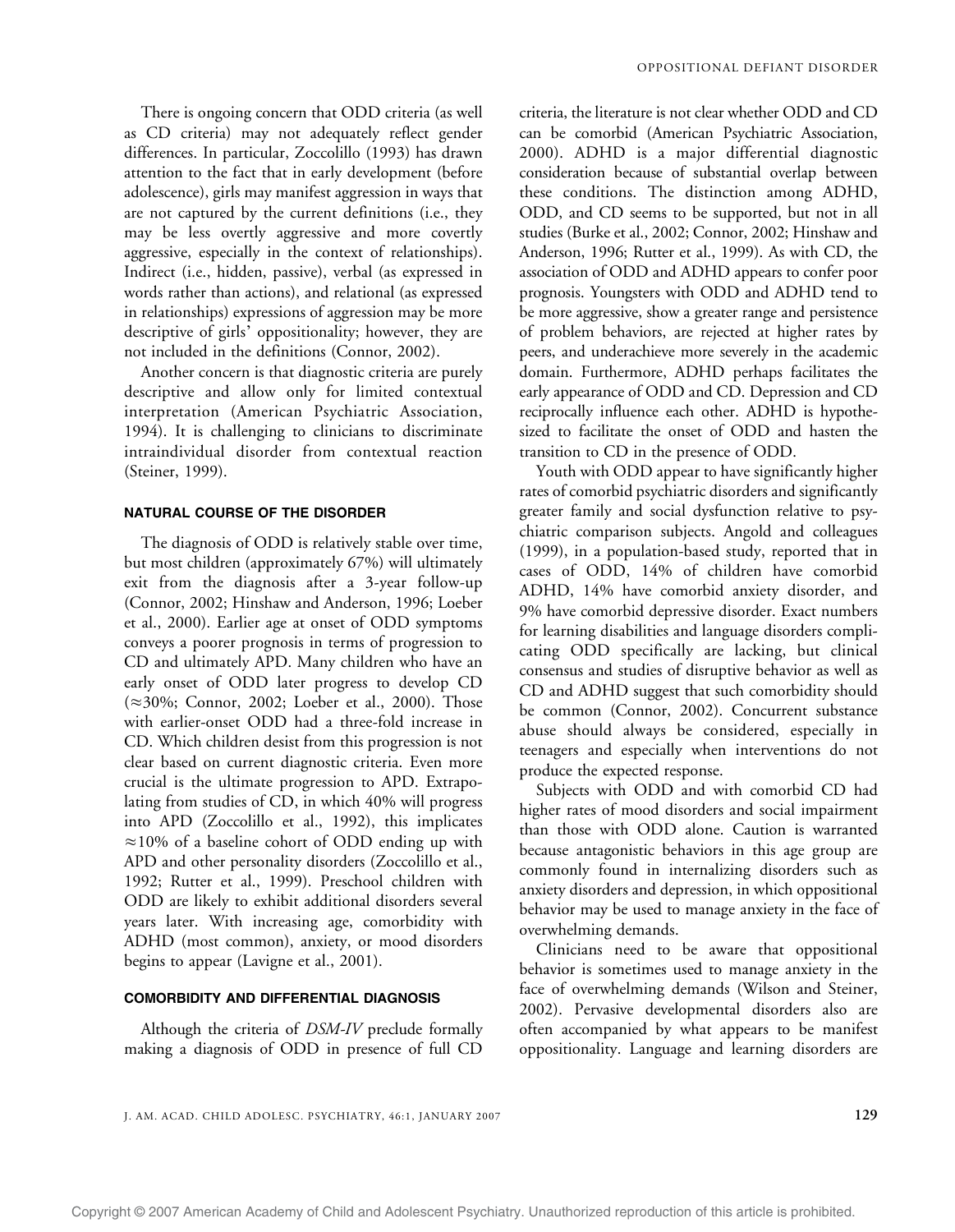There is ongoing concern that ODD criteria (as well as CD criteria) may not adequately reflect gender differences. In particular, Zoccolillo (1993) has drawn attention to the fact that in early development (before adolescence), girls may manifest aggression in ways that are not captured by the current definitions (i.e., they may be less overtly aggressive and more covertly aggressive, especially in the context of relationships). Indirect (i.e., hidden, passive), verbal (as expressed in words rather than actions), and relational (as expressed in relationships) expressions of aggression may be more descriptive of girls' oppositionality; however, they are not included in the definitions (Connor, 2002).

Another concern is that diagnostic criteria are purely descriptive and allow only for limited contextual interpretation (American Psychiatric Association, 1994). It is challenging to clinicians to discriminate intraindividual disorder from contextual reaction (Steiner, 1999).

## NATURAL COURSE OF THE DISORDER

The diagnosis of ODD is relatively stable over time, but most children (approximately 67%) will ultimately exit from the diagnosis after a 3-year follow-up (Connor, 2002; Hinshaw and Anderson, 1996; Loeber et al., 2000). Earlier age at onset of ODD symptoms conveys a poorer prognosis in terms of progression to CD and ultimately APD. Many children who have an early onset of ODD later progress to develop CD  $(\approx 30\%;$  Connor, 2002; Loeber et al., 2000). Those with earlier-onset ODD had a three-fold increase in CD. Which children desist from this progression is not clear based on current diagnostic criteria. Even more crucial is the ultimate progression to APD. Extrapolating from studies of CD, in which 40% will progress into APD (Zoccolillo et al., 1992), this implicates  $\approx$ 10% of a baseline cohort of ODD ending up with APD and other personality disorders (Zoccolillo et al., 1992; Rutter et al., 1999). Preschool children with ODD are likely to exhibit additional disorders several years later. With increasing age, comorbidity with ADHD (most common), anxiety, or mood disorders begins to appear (Lavigne et al., 2001).

### COMORBIDITY AND DIFFERENTIAL DIAGNOSIS

Although the criteria of DSM-IV preclude formally making a diagnosis of ODD in presence of full CD criteria, the literature is not clear whether ODD and CD can be comorbid (American Psychiatric Association, 2000). ADHD is a major differential diagnostic consideration because of substantial overlap between these conditions. The distinction among ADHD, ODD, and CD seems to be supported, but not in all studies (Burke et al., 2002; Connor, 2002; Hinshaw and Anderson, 1996; Rutter et al., 1999). As with CD, the association of ODD and ADHD appears to confer poor prognosis. Youngsters with ODD and ADHD tend to be more aggressive, show a greater range and persistence of problem behaviors, are rejected at higher rates by peers, and underachieve more severely in the academic domain. Furthermore, ADHD perhaps facilitates the early appearance of ODD and CD. Depression and CD reciprocally influence each other. ADHD is hypothesized to facilitate the onset of ODD and hasten the transition to CD in the presence of ODD.

Youth with ODD appear to have significantly higher rates of comorbid psychiatric disorders and significantly greater family and social dysfunction relative to psychiatric comparison subjects. Angold and colleagues (1999), in a population-based study, reported that in cases of ODD, 14% of children have comorbid ADHD, 14% have comorbid anxiety disorder, and 9% have comorbid depressive disorder. Exact numbers for learning disabilities and language disorders complicating ODD specifically are lacking, but clinical consensus and studies of disruptive behavior as well as CD and ADHD suggest that such comorbidity should be common (Connor, 2002). Concurrent substance abuse should always be considered, especially in teenagers and especially when interventions do not produce the expected response.

Subjects with ODD and with comorbid CD had higher rates of mood disorders and social impairment than those with ODD alone. Caution is warranted because antagonistic behaviors in this age group are commonly found in internalizing disorders such as anxiety disorders and depression, in which oppositional behavior may be used to manage anxiety in the face of overwhelming demands.

Clinicians need to be aware that oppositional behavior is sometimes used to manage anxiety in the face of overwhelming demands (Wilson and Steiner, 2002). Pervasive developmental disorders also are often accompanied by what appears to be manifest oppositionality. Language and learning disorders are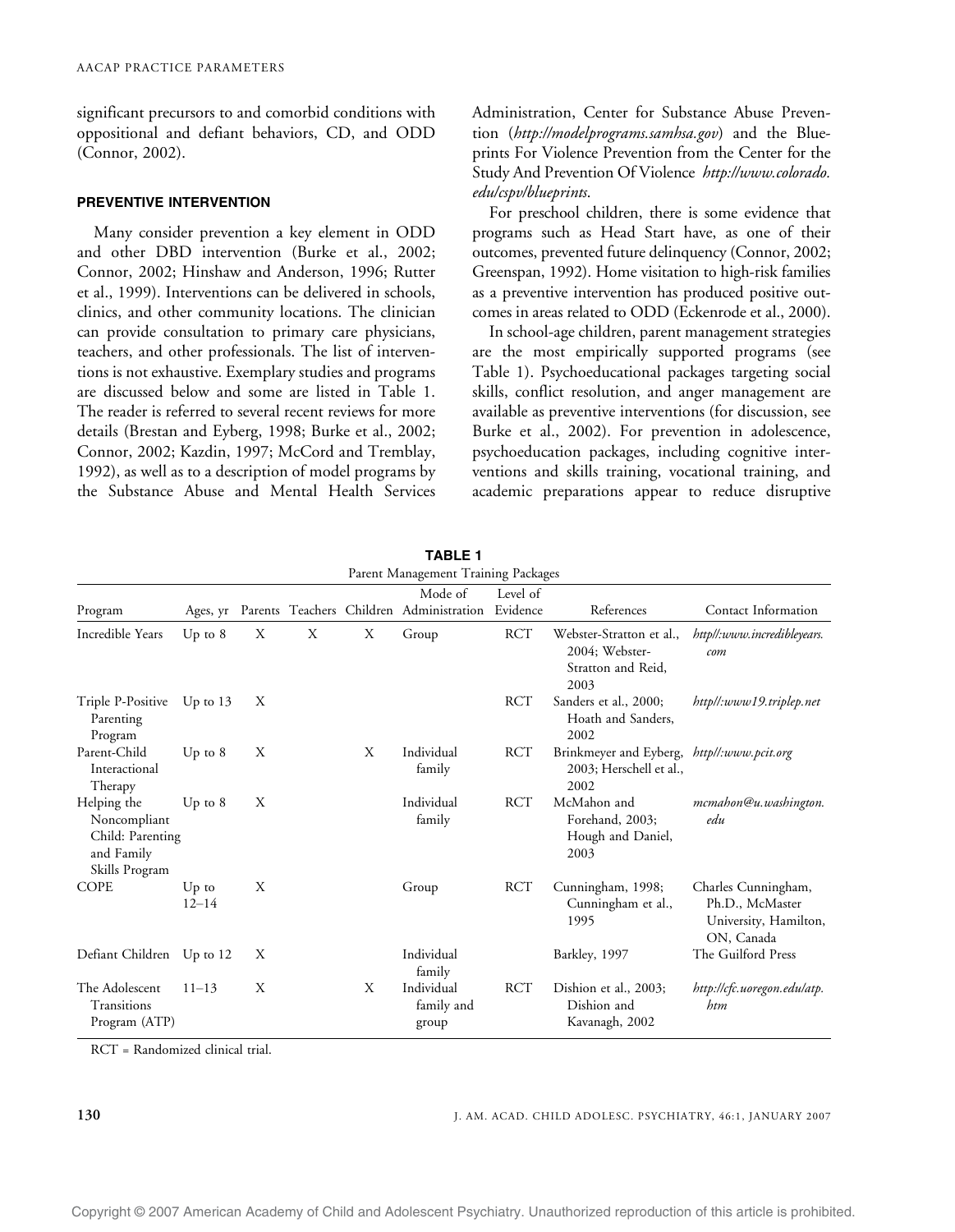significant precursors to and comorbid conditions with oppositional and defiant behaviors, CD, and ODD (Connor, 2002).

#### PREVENTIVE INTERVENTION

Many consider prevention a key element in ODD and other DBD intervention (Burke et al., 2002; Connor, 2002; Hinshaw and Anderson, 1996; Rutter et al., 1999). Interventions can be delivered in schools, clinics, and other community locations. The clinician can provide consultation to primary care physicians, teachers, and other professionals. The list of interventions is not exhaustive. Exemplary studies and programs are discussed below and some are listed in Table 1. The reader is referred to several recent reviews for more details (Brestan and Eyberg, 1998; Burke et al., 2002; Connor, 2002; Kazdin, 1997; McCord and Tremblay, 1992), as well as to a description of model programs by the Substance Abuse and Mental Health Services

Administration, Center for Substance Abuse Prevention (http://modelprograms.samhsa.gov) and the Blueprints For Violence Prevention from the Center for the Study And Prevention Of Violence http://www.colorado. edu/cspv/blueprints.

For preschool children, there is some evidence that programs such as Head Start have, as one of their outcomes, prevented future delinquency (Connor, 2002; Greenspan, 1992). Home visitation to high-risk families as a preventive intervention has produced positive outcomes in areas related to ODD (Eckenrode et al., 2000).

In school-age children, parent management strategies are the most empirically supported programs (see Table 1). Psychoeducational packages targeting social skills, conflict resolution, and anger management are available as preventive interventions (for discussion, see Burke et al., 2002). For prevention in adolescence, psychoeducation packages, including cognitive interventions and skills training, vocational training, and academic preparations appear to reduce disruptive

|                                                                                 |                      |   |   |   | Mode of                                  | o<br>$\sigma$<br>Level of |                                                                               |                                                                               |
|---------------------------------------------------------------------------------|----------------------|---|---|---|------------------------------------------|---------------------------|-------------------------------------------------------------------------------|-------------------------------------------------------------------------------|
| Program                                                                         | Ages, yr             |   |   |   | Parents Teachers Children Administration | Evidence                  | References                                                                    | Contact Information                                                           |
| Incredible Years                                                                | Up to $8$            | X | X | X | Group                                    | RCT                       | Webster-Stratton et al.,<br>2004; Webster-<br>Stratton and Reid,<br>2003      | http//:www.incredibleyears.<br>com                                            |
| Triple P-Positive<br>Parenting<br>Program                                       | Up to $13$           | Χ |   |   |                                          | <b>RCT</b>                | Sanders et al., 2000;<br>Hoath and Sanders,<br>2002                           | http//:www19.triplep.net                                                      |
| Parent-Child<br>Interactional<br>Therapy                                        | Up to $8$            | X |   | X | Individual<br>family                     | RCT                       | Brinkmeyer and Eyberg, http//:www.pcit.org<br>2003; Herschell et al.,<br>2002 |                                                                               |
| Helping the<br>Noncompliant<br>Child: Parenting<br>and Family<br>Skills Program | Up to $8$            | X |   |   | Individual<br>family                     | <b>RCT</b>                | McMahon and<br>Forehand, 2003;<br>Hough and Daniel,<br>2003                   | mcmahon@u.washington.<br>edu                                                  |
| COPE                                                                            | $Up$ to<br>$12 - 14$ | Χ |   |   | Group                                    | RCT                       | Cunningham, 1998;<br>Cunningham et al.,<br>1995                               | Charles Cunningham,<br>Ph.D., McMaster<br>University, Hamilton,<br>ON, Canada |
| Defiant Children Up to 12                                                       |                      | Χ |   |   | Individual<br>family                     |                           | Barkley, 1997                                                                 | The Guilford Press                                                            |
| The Adolescent<br>Transitions<br>Program (ATP)                                  | $11 - 13$            | X |   | X | Individual<br>family and<br>group        | <b>RCT</b>                | Dishion et al., 2003;<br>Dishion and<br>Kavanagh, 2002                        | http://cfc.uoregon.edu/atp.<br>htm                                            |

TABLE 1 Parent Management Training Packages

RCT = Randomized clinical trial.

130 J. AM. ACAD. CHILD ADOLESC. PSYCHIATRY, 46:1, JANUARY 2007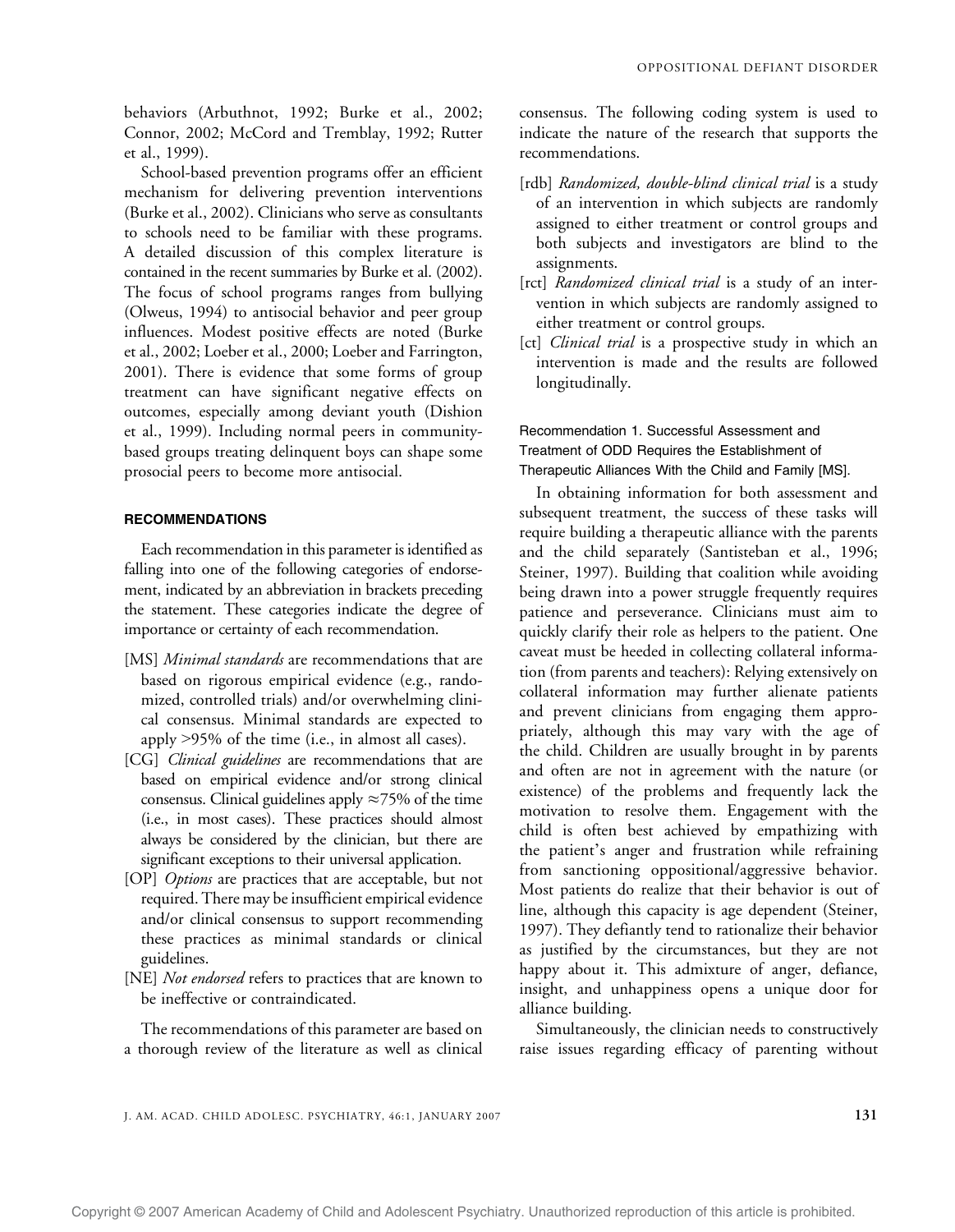behaviors (Arbuthnot, 1992; Burke et al., 2002; Connor, 2002; McCord and Tremblay, 1992; Rutter et al., 1999).

School-based prevention programs offer an efficient mechanism for delivering prevention interventions (Burke et al., 2002). Clinicians who serve as consultants to schools need to be familiar with these programs. A detailed discussion of this complex literature is contained in the recent summaries by Burke et al. (2002). The focus of school programs ranges from bullying (Olweus, 1994) to antisocial behavior and peer group influences. Modest positive effects are noted (Burke et al., 2002; Loeber et al., 2000; Loeber and Farrington, 2001). There is evidence that some forms of group treatment can have significant negative effects on outcomes, especially among deviant youth (Dishion et al., 1999). Including normal peers in communitybased groups treating delinquent boys can shape some prosocial peers to become more antisocial.

#### RECOMMENDATIONS

Each recommendation in this parameter is identified as falling into one of the following categories of endorsement, indicated by an abbreviation in brackets preceding the statement. These categories indicate the degree of importance or certainty of each recommendation.

- [MS] *Minimal standards* are recommendations that are based on rigorous empirical evidence (e.g., randomized, controlled trials) and/or overwhelming clinical consensus. Minimal standards are expected to apply 995% of the time (i.e., in almost all cases).
- [CG] Clinical guidelines are recommendations that are based on empirical evidence and/or strong clinical consensus. Clinical guidelines apply  $\approx$ 75% of the time (i.e., in most cases). These practices should almost always be considered by the clinician, but there are significant exceptions to their universal application.
- [OP] *Options* are practices that are acceptable, but not required. There may be insufficient empirical evidence and/or clinical consensus to support recommending these practices as minimal standards or clinical guidelines.
- [NE] Not endorsed refers to practices that are known to be ineffective or contraindicated.

The recommendations of this parameter are based on a thorough review of the literature as well as clinical consensus. The following coding system is used to indicate the nature of the research that supports the recommendations.

- [rdb] Randomized, double-blind clinical trial is a study of an intervention in which subjects are randomly assigned to either treatment or control groups and both subjects and investigators are blind to the assignments.
- [rct] Randomized clinical trial is a study of an intervention in which subjects are randomly assigned to either treatment or control groups.
- [ct] *Clinical trial* is a prospective study in which an intervention is made and the results are followed longitudinally.

Recommendation 1. Successful Assessment and Treatment of ODD Requires the Establishment of Therapeutic Alliances With the Child and Family [MS].

In obtaining information for both assessment and subsequent treatment, the success of these tasks will require building a therapeutic alliance with the parents and the child separately (Santisteban et al., 1996; Steiner, 1997). Building that coalition while avoiding being drawn into a power struggle frequently requires patience and perseverance. Clinicians must aim to quickly clarify their role as helpers to the patient. One caveat must be heeded in collecting collateral information (from parents and teachers): Relying extensively on collateral information may further alienate patients and prevent clinicians from engaging them appropriately, although this may vary with the age of the child. Children are usually brought in by parents and often are not in agreement with the nature (or existence) of the problems and frequently lack the motivation to resolve them. Engagement with the child is often best achieved by empathizing with the patient's anger and frustration while refraining from sanctioning oppositional/aggressive behavior. Most patients do realize that their behavior is out of line, although this capacity is age dependent (Steiner, 1997). They defiantly tend to rationalize their behavior as justified by the circumstances, but they are not happy about it. This admixture of anger, defiance, insight, and unhappiness opens a unique door for alliance building.

Simultaneously, the clinician needs to constructively raise issues regarding efficacy of parenting without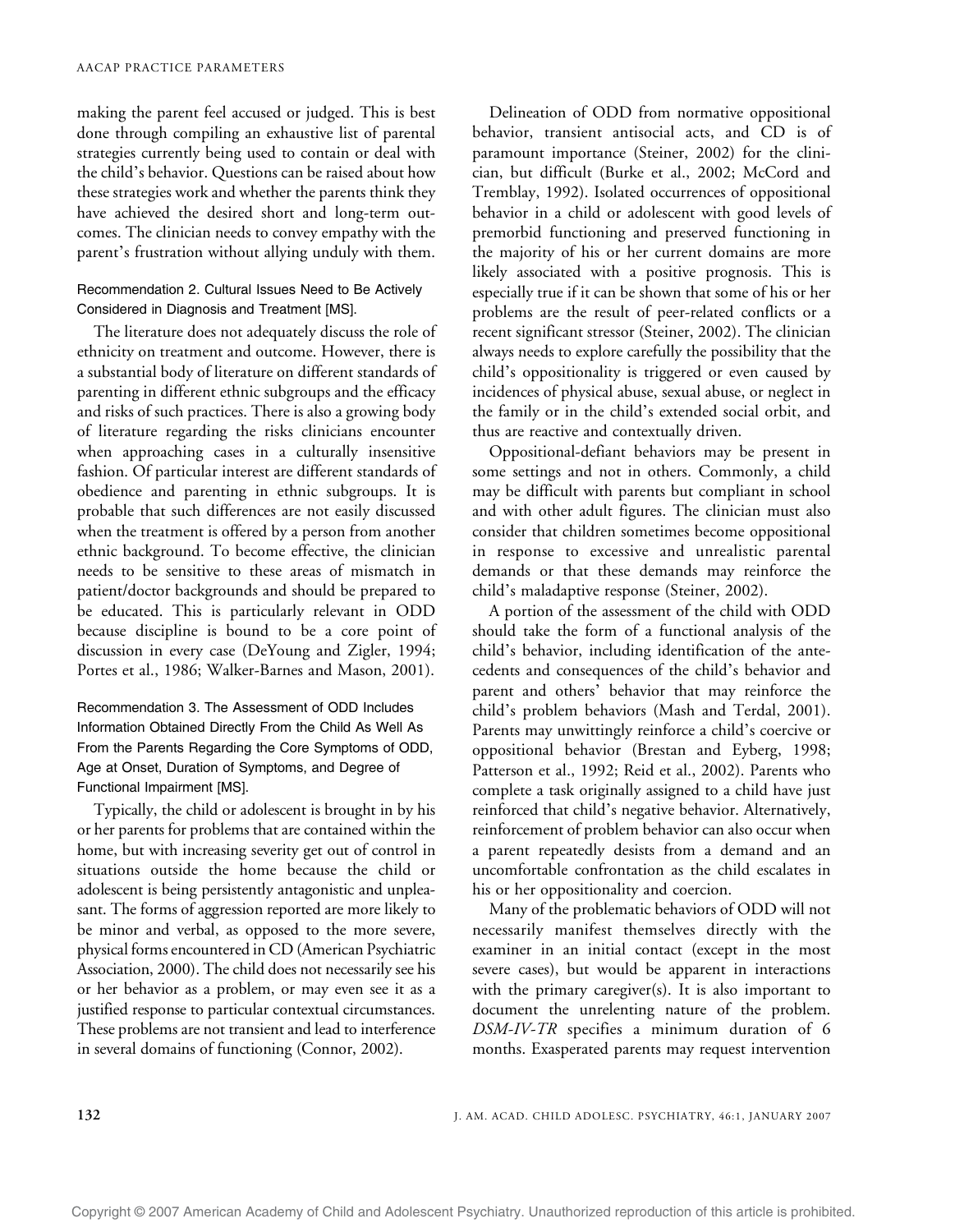making the parent feel accused or judged. This is best done through compiling an exhaustive list of parental strategies currently being used to contain or deal with the child's behavior. Questions can be raised about how these strategies work and whether the parents think they have achieved the desired short and long-term outcomes. The clinician needs to convey empathy with the parent's frustration without allying unduly with them.

# Recommendation 2. Cultural Issues Need to Be Actively Considered in Diagnosis and Treatment [MS].

The literature does not adequately discuss the role of ethnicity on treatment and outcome. However, there is a substantial body of literature on different standards of parenting in different ethnic subgroups and the efficacy and risks of such practices. There is also a growing body of literature regarding the risks clinicians encounter when approaching cases in a culturally insensitive fashion. Of particular interest are different standards of obedience and parenting in ethnic subgroups. It is probable that such differences are not easily discussed when the treatment is offered by a person from another ethnic background. To become effective, the clinician needs to be sensitive to these areas of mismatch in patient/doctor backgrounds and should be prepared to be educated. This is particularly relevant in ODD because discipline is bound to be a core point of discussion in every case (DeYoung and Zigler, 1994; Portes et al., 1986; Walker-Barnes and Mason, 2001).

Recommendation 3. The Assessment of ODD Includes Information Obtained Directly From the Child As Well As From the Parents Regarding the Core Symptoms of ODD, Age at Onset, Duration of Symptoms, and Degree of Functional Impairment [MS].

Typically, the child or adolescent is brought in by his or her parents for problems that are contained within the home, but with increasing severity get out of control in situations outside the home because the child or adolescent is being persistently antagonistic and unpleasant. The forms of aggression reported are more likely to be minor and verbal, as opposed to the more severe, physical forms encountered in CD (American Psychiatric Association, 2000). The child does not necessarily see his or her behavior as a problem, or may even see it as a justified response to particular contextual circumstances. These problems are not transient and lead to interference in several domains of functioning (Connor, 2002).

Delineation of ODD from normative oppositional behavior, transient antisocial acts, and CD is of paramount importance (Steiner, 2002) for the clinician, but difficult (Burke et al., 2002; McCord and Tremblay, 1992). Isolated occurrences of oppositional behavior in a child or adolescent with good levels of premorbid functioning and preserved functioning in the majority of his or her current domains are more likely associated with a positive prognosis. This is especially true if it can be shown that some of his or her problems are the result of peer-related conflicts or a recent significant stressor (Steiner, 2002). The clinician always needs to explore carefully the possibility that the child's oppositionality is triggered or even caused by incidences of physical abuse, sexual abuse, or neglect in the family or in the child's extended social orbit, and thus are reactive and contextually driven.

Oppositional-defiant behaviors may be present in some settings and not in others. Commonly, a child may be difficult with parents but compliant in school and with other adult figures. The clinician must also consider that children sometimes become oppositional in response to excessive and unrealistic parental demands or that these demands may reinforce the child's maladaptive response (Steiner, 2002).

A portion of the assessment of the child with ODD should take the form of a functional analysis of the child's behavior, including identification of the antecedents and consequences of the child's behavior and parent and others' behavior that may reinforce the child's problem behaviors (Mash and Terdal, 2001). Parents may unwittingly reinforce a child's coercive or oppositional behavior (Brestan and Eyberg, 1998; Patterson et al., 1992; Reid et al., 2002). Parents who complete a task originally assigned to a child have just reinforced that child's negative behavior. Alternatively, reinforcement of problem behavior can also occur when a parent repeatedly desists from a demand and an uncomfortable confrontation as the child escalates in his or her oppositionality and coercion.

Many of the problematic behaviors of ODD will not necessarily manifest themselves directly with the examiner in an initial contact (except in the most severe cases), but would be apparent in interactions with the primary caregiver(s). It is also important to document the unrelenting nature of the problem. DSM-IV-TR specifies a minimum duration of 6 months. Exasperated parents may request intervention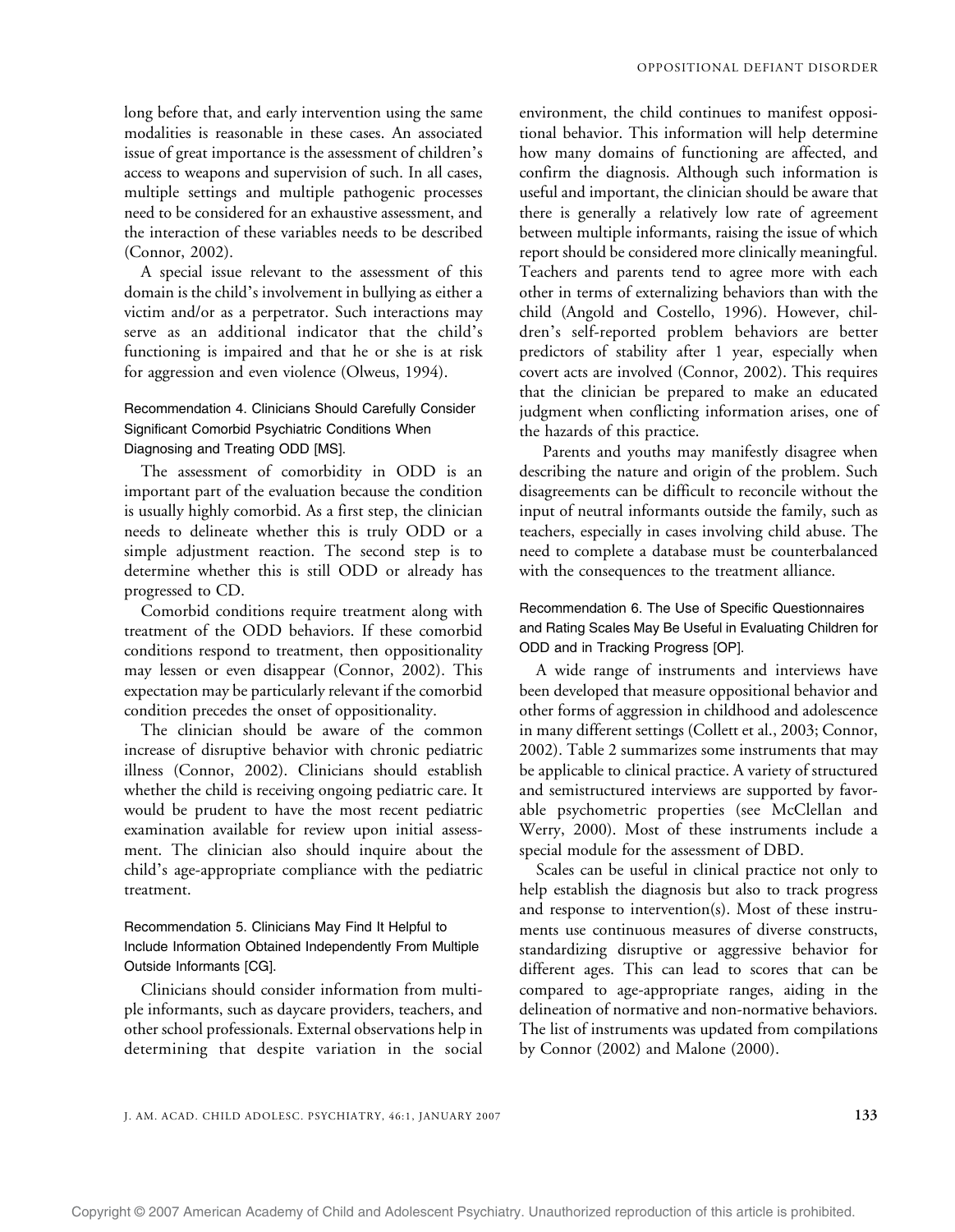long before that, and early intervention using the same modalities is reasonable in these cases. An associated issue of great importance is the assessment of children's access to weapons and supervision of such. In all cases, multiple settings and multiple pathogenic processes need to be considered for an exhaustive assessment, and the interaction of these variables needs to be described (Connor, 2002).

A special issue relevant to the assessment of this domain is the child's involvement in bullying as either a victim and/or as a perpetrator. Such interactions may serve as an additional indicator that the child's functioning is impaired and that he or she is at risk for aggression and even violence (Olweus, 1994).

# Recommendation 4. Clinicians Should Carefully Consider Significant Comorbid Psychiatric Conditions When Diagnosing and Treating ODD [MS].

The assessment of comorbidity in ODD is an important part of the evaluation because the condition is usually highly comorbid. As a first step, the clinician needs to delineate whether this is truly ODD or a simple adjustment reaction. The second step is to determine whether this is still ODD or already has progressed to CD.

Comorbid conditions require treatment along with treatment of the ODD behaviors. If these comorbid conditions respond to treatment, then oppositionality may lessen or even disappear (Connor, 2002). This expectation may be particularly relevant if the comorbid condition precedes the onset of oppositionality.

The clinician should be aware of the common increase of disruptive behavior with chronic pediatric illness (Connor, 2002). Clinicians should establish whether the child is receiving ongoing pediatric care. It would be prudent to have the most recent pediatric examination available for review upon initial assessment. The clinician also should inquire about the child's age-appropriate compliance with the pediatric treatment.

Recommendation 5. Clinicians May Find It Helpful to Include Information Obtained Independently From Multiple Outside Informants [CG].

Clinicians should consider information from multiple informants, such as daycare providers, teachers, and other school professionals. External observations help in determining that despite variation in the social environment, the child continues to manifest oppositional behavior. This information will help determine how many domains of functioning are affected, and confirm the diagnosis. Although such information is useful and important, the clinician should be aware that there is generally a relatively low rate of agreement between multiple informants, raising the issue of which report should be considered more clinically meaningful. Teachers and parents tend to agree more with each other in terms of externalizing behaviors than with the child (Angold and Costello, 1996). However, children's self-reported problem behaviors are better predictors of stability after 1 year, especially when covert acts are involved (Connor, 2002). This requires that the clinician be prepared to make an educated judgment when conflicting information arises, one of the hazards of this practice.

Parents and youths may manifestly disagree when describing the nature and origin of the problem. Such disagreements can be difficult to reconcile without the input of neutral informants outside the family, such as teachers, especially in cases involving child abuse. The need to complete a database must be counterbalanced with the consequences to the treatment alliance.

Recommendation 6. The Use of Specific Questionnaires and Rating Scales May Be Useful in Evaluating Children for ODD and in Tracking Progress [OP].

A wide range of instruments and interviews have been developed that measure oppositional behavior and other forms of aggression in childhood and adolescence in many different settings (Collett et al., 2003; Connor, 2002). Table 2 summarizes some instruments that may be applicable to clinical practice. A variety of structured and semistructured interviews are supported by favorable psychometric properties (see McClellan and Werry, 2000). Most of these instruments include a special module for the assessment of DBD.

Scales can be useful in clinical practice not only to help establish the diagnosis but also to track progress and response to intervention(s). Most of these instruments use continuous measures of diverse constructs, standardizing disruptive or aggressive behavior for different ages. This can lead to scores that can be compared to age-appropriate ranges, aiding in the delineation of normative and non-normative behaviors. The list of instruments was updated from compilations by Connor (2002) and Malone (2000).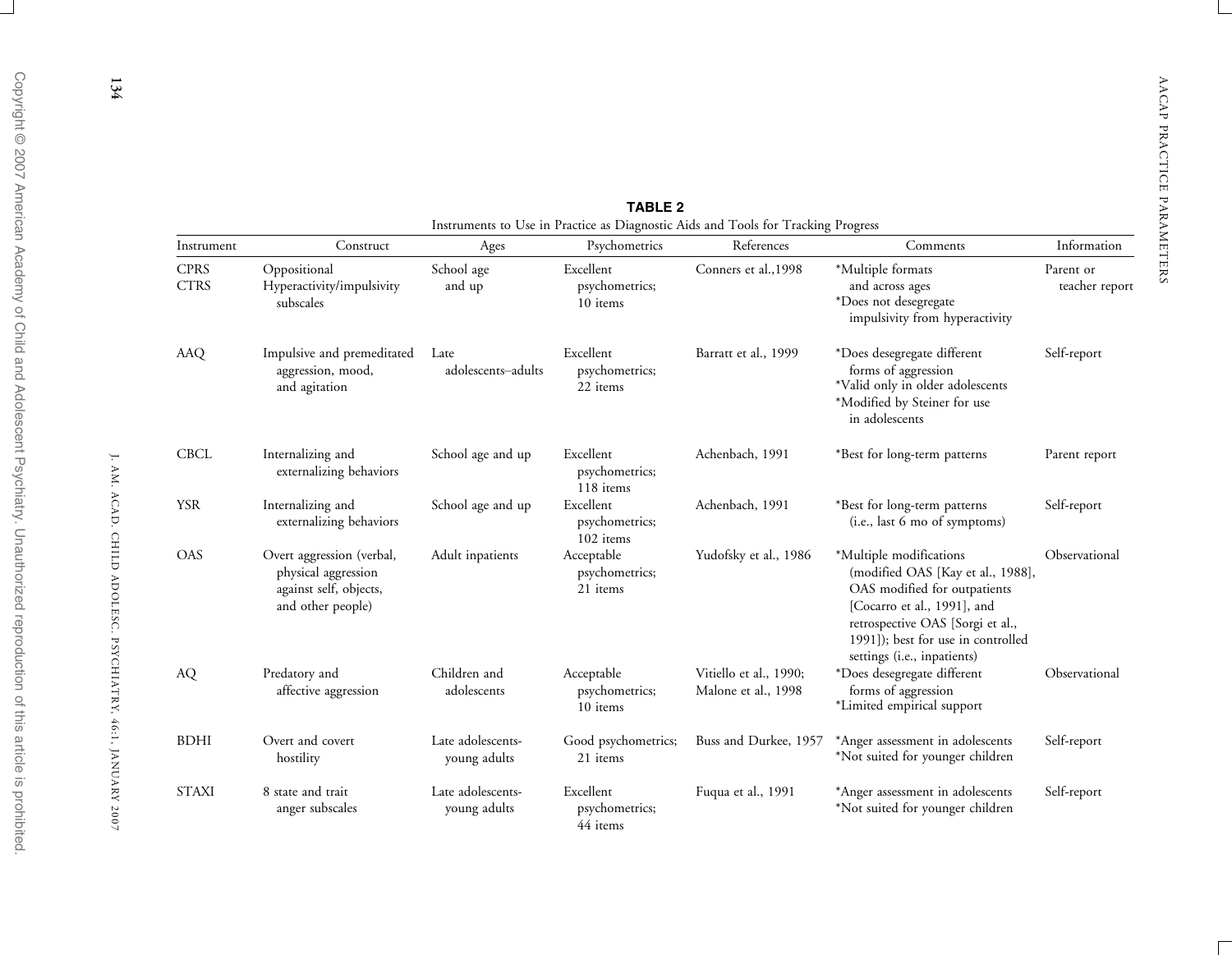$\frac{1}{2}$ 

 $\Box$ 

| Instrument                 | Construct                                                                                       | Ages                              | Psychometrics                            | References                                    | Comments                                                                                                                                                                                                                             | Information                 |
|----------------------------|-------------------------------------------------------------------------------------------------|-----------------------------------|------------------------------------------|-----------------------------------------------|--------------------------------------------------------------------------------------------------------------------------------------------------------------------------------------------------------------------------------------|-----------------------------|
|                            |                                                                                                 |                                   |                                          |                                               |                                                                                                                                                                                                                                      |                             |
| <b>CPRS</b><br><b>CTRS</b> | Oppositional<br>Hyperactivity/impulsivity<br>subscales                                          | School age<br>and up              | Excellent<br>psychometrics;<br>10 items  | Conners et al., 1998                          | *Multiple formats<br>and across ages<br>*Does not desegregate<br>impulsivity from hyperactivity                                                                                                                                      | Parent or<br>teacher report |
| AAQ                        | Impulsive and premeditated<br>aggression, mood,<br>and agitation                                | Late<br>adolescents-adults        | Excellent<br>psychometrics;<br>22 items  | Barratt et al., 1999                          | *Does desegregate different<br>forms of aggression<br>*Valid only in older adolescents<br>*Modified by Steiner for use<br>in adolescents                                                                                             | Self-report                 |
| <b>CBCL</b>                | Internalizing and<br>externalizing behaviors                                                    | School age and up                 | Excellent<br>psychometrics;<br>118 items | Achenbach, 1991                               | *Best for long-term patterns                                                                                                                                                                                                         | Parent report               |
| <b>YSR</b>                 | Internalizing and<br>externalizing behaviors                                                    | School age and up                 | Excellent<br>psychometrics;<br>102 items | Achenbach, 1991                               | *Best for long-term patterns<br>(i.e., last 6 mo of symptoms)                                                                                                                                                                        | Self-report                 |
| <b>OAS</b>                 | Overt aggression (verbal,<br>physical aggression<br>against self, objects,<br>and other people) | Adult inpatients                  | Acceptable<br>psychometrics;<br>21 items | Yudofsky et al., 1986                         | *Multiple modifications<br>(modified OAS [Kay et al., 1988],<br>OAS modified for outpatients<br>[Cocarro et al., 1991], and<br>retrospective OAS [Sorgi et al.,<br>1991]); best for use in controlled<br>settings (i.e., inpatients) | Observational               |
| AQ                         | Predatory and<br>affective aggression                                                           | Children and<br>adolescents       | Acceptable<br>psychometrics;<br>10 items | Vitiello et al., 1990;<br>Malone et al., 1998 | *Does desegregate different<br>forms of aggression<br>*Limited empirical support                                                                                                                                                     | Observational               |
| <b>BDHI</b>                | Overt and covert<br>hostility                                                                   | Late adolescents-<br>young adults | Good psychometrics;<br>21 items          | Buss and Durkee, 1957                         | *Anger assessment in adolescents<br>*Not suited for younger children                                                                                                                                                                 | Self-report                 |
| <b>STAXI</b>               | 8 state and trait<br>anger subscales                                                            | Late adolescents-<br>young adults | Excellent<br>psychometrics;<br>44 items  | Fuqua et al., 1991                            | *Anger assessment in adolescents<br>*Not suited for younger children                                                                                                                                                                 | Self-report                 |

TABLE 2

 $\Box$ 

J. AM.

ACAD. CHILD

ADOLESC.

PSYCHIATRY,

46:1,

JANUARY

2007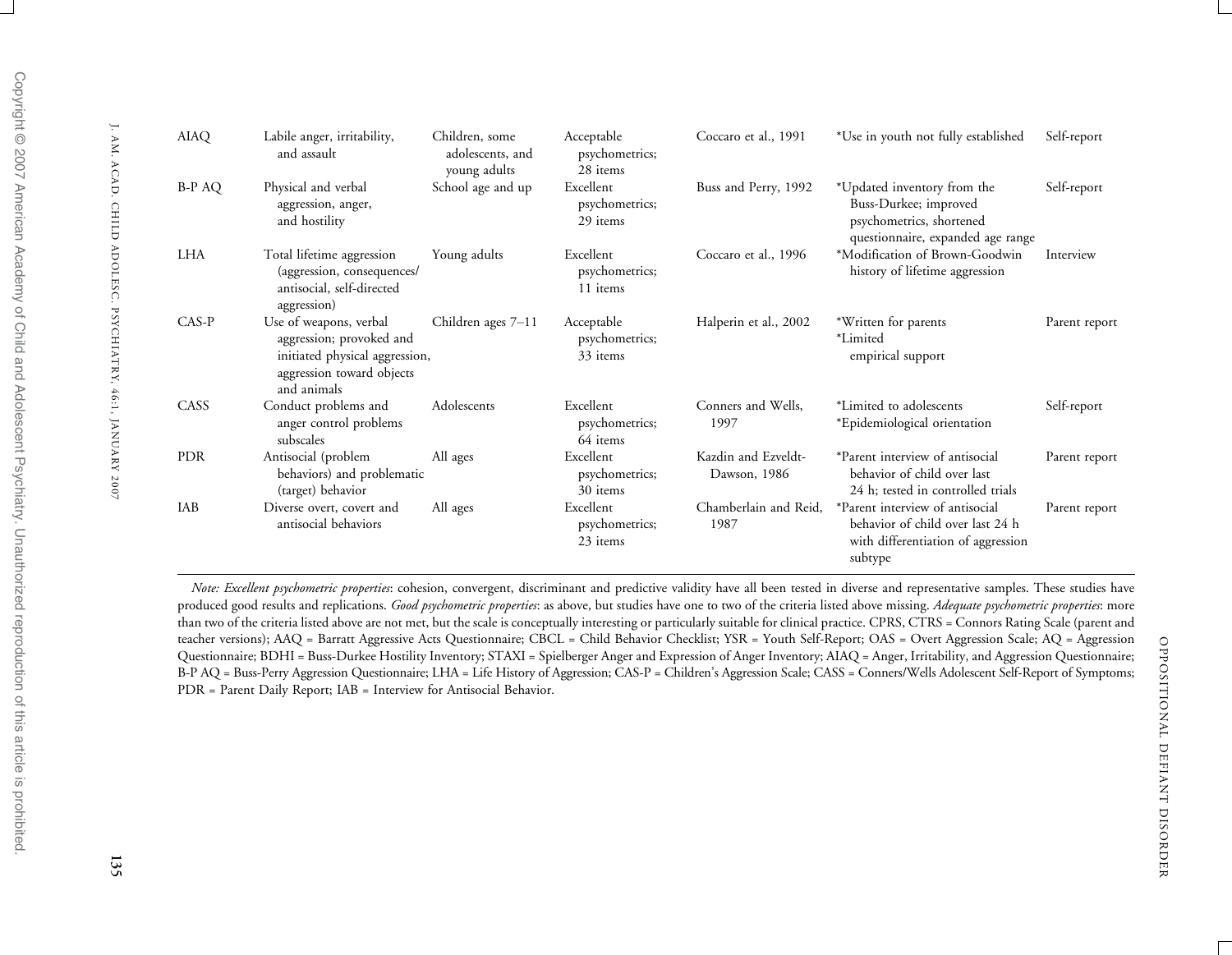| AIAQ         | Labile anger, irritability,<br>and assault                                                                                       | Children, some<br>adolescents, and<br>young adults | Acceptable<br>psychometrics;<br>28 items | Coccaro et al., 1991                | *Use in youth not fully established                                                                                   | Self-report   |
|--------------|----------------------------------------------------------------------------------------------------------------------------------|----------------------------------------------------|------------------------------------------|-------------------------------------|-----------------------------------------------------------------------------------------------------------------------|---------------|
| <b>B-PAQ</b> | Physical and verbal<br>aggression, anger,<br>and hostility                                                                       | School age and up                                  | Excellent<br>psychometrics;<br>29 items  | Buss and Perry, 1992                | *Updated inventory from the<br>Buss-Durkee; improved<br>psychometrics, shortened<br>questionnaire, expanded age range | Self-report   |
| <b>LHA</b>   | Total lifetime aggression<br>(aggression, consequences/<br>antisocial, self-directed<br>aggression)                              | Young adults                                       | Excellent<br>psychometrics;<br>11 items  | Coccaro et al., 1996                | *Modification of Brown-Goodwin<br>history of lifetime aggression                                                      | Interview     |
| $CAS-P$      | Use of weapons, verbal<br>aggression; provoked and<br>initiated physical aggression,<br>aggression toward objects<br>and animals | Children ages $7-11$                               | Acceptable<br>psychometrics;<br>33 items | Halperin et al., 2002               | *Written for parents<br>*Limited<br>empirical support                                                                 | Parent report |
| CASS         | Conduct problems and<br>anger control problems<br>subscales                                                                      | Adolescents                                        | Excellent<br>psychometrics;<br>64 items  | Conners and Wells,<br>1997          | *Limited to adolescents<br>*Epidemiological orientation                                                               | Self-report   |
| PDR          | Antisocial (problem<br>behaviors) and problematic<br>(target) behavior                                                           | All ages                                           | Excellent<br>psychometrics;<br>30 items  | Kazdin and Ezveldt-<br>Dawson, 1986 | *Parent interview of antisocial<br>behavior of child over last<br>24 h; tested in controlled trials                   | Parent report |
| IAB          | Diverse overt, covert and<br>antisocial behaviors                                                                                | All ages                                           | Excellent<br>psychometrics;<br>23 items  | Chamberlain and Reid,<br>1987       | *Parent interview of antisocial<br>behavior of child over last 24 h<br>with differentiation of aggression<br>subtype  | Parent report |

Note: Excellent psychometric properties: cohesion, convergent, discriminant and predictive validity have all been tested in diverse and representative samples. These studies have produced good results and replications. Good psychometric properties: as above, but studies have one to two of the criteria listed above missing. Adequate psychometric properties: more than two of the criteria listed above are not met, but the scale is conceptually interesting or particularly suitable for clinical practice. CPRS, CTRS = Connors Rating Scale (parent and teacher versions); AAQ = Barratt Aggressive Acts Questionnaire; CBCL = Child Behavior Checklist; YSR = Youth Self-Report; OAS = Overt Aggression Scale; AQ = Aggression Questionnaire; BDHI = Buss-Durkee Hostility Inventory; STAXI = Spielberger Anger and Expression of Anger Inventory; AIAQ = Anger, Irritability, and Aggression Questionnaire; B-P AQ = Buss-Perry Aggression Questionnaire; LHA = Life History of Aggression; CAS-P = Children's Aggression Scale; CASS = Conners/Wells Adolescent Self-Report of Symptoms; PDR = Parent Daily Report; IAB = Interview for Antisocial Behavior.

J. AM. ACAD. CHILD ADOLESC. PSYCHIATRY, 46:1, JANUARY

72007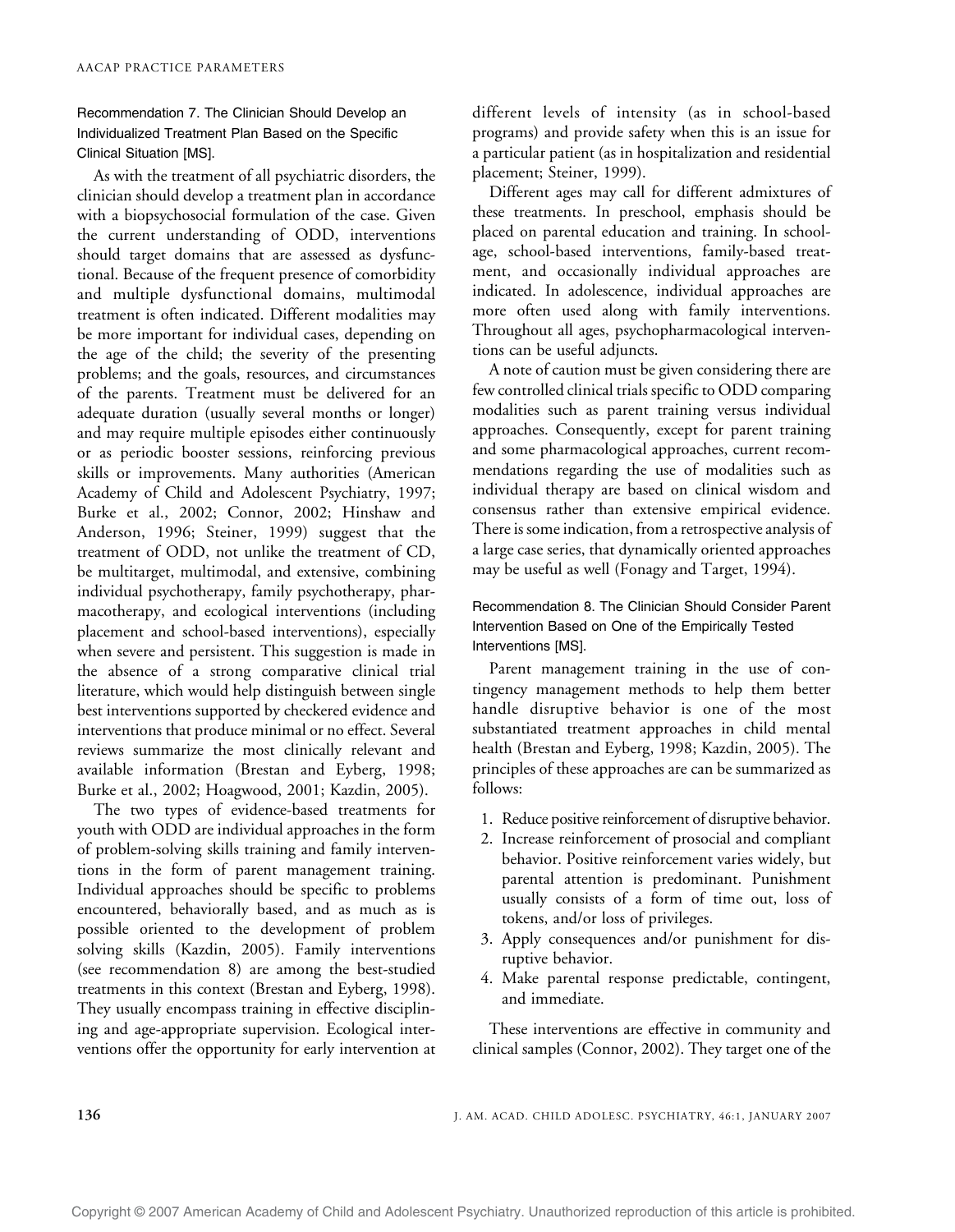# Recommendation 7. The Clinician Should Develop an Individualized Treatment Plan Based on the Specific Clinical Situation [MS].

As with the treatment of all psychiatric disorders, the clinician should develop a treatment plan in accordance with a biopsychosocial formulation of the case. Given the current understanding of ODD, interventions should target domains that are assessed as dysfunctional. Because of the frequent presence of comorbidity and multiple dysfunctional domains, multimodal treatment is often indicated. Different modalities may be more important for individual cases, depending on the age of the child; the severity of the presenting problems; and the goals, resources, and circumstances of the parents. Treatment must be delivered for an adequate duration (usually several months or longer) and may require multiple episodes either continuously or as periodic booster sessions, reinforcing previous skills or improvements. Many authorities (American Academy of Child and Adolescent Psychiatry, 1997; Burke et al., 2002; Connor, 2002; Hinshaw and Anderson, 1996; Steiner, 1999) suggest that the treatment of ODD, not unlike the treatment of CD, be multitarget, multimodal, and extensive, combining individual psychotherapy, family psychotherapy, pharmacotherapy, and ecological interventions (including placement and school-based interventions), especially when severe and persistent. This suggestion is made in the absence of a strong comparative clinical trial literature, which would help distinguish between single best interventions supported by checkered evidence and interventions that produce minimal or no effect. Several reviews summarize the most clinically relevant and available information (Brestan and Eyberg, 1998; Burke et al., 2002; Hoagwood, 2001; Kazdin, 2005).

The two types of evidence-based treatments for youth with ODD are individual approaches in the form of problem-solving skills training and family interventions in the form of parent management training. Individual approaches should be specific to problems encountered, behaviorally based, and as much as is possible oriented to the development of problem solving skills (Kazdin, 2005). Family interventions (see recommendation 8) are among the best-studied treatments in this context (Brestan and Eyberg, 1998). They usually encompass training in effective disciplining and age-appropriate supervision. Ecological interventions offer the opportunity for early intervention at different levels of intensity (as in school-based programs) and provide safety when this is an issue for a particular patient (as in hospitalization and residential placement; Steiner, 1999).

Different ages may call for different admixtures of these treatments. In preschool, emphasis should be placed on parental education and training. In schoolage, school-based interventions, family-based treatment, and occasionally individual approaches are indicated. In adolescence, individual approaches are more often used along with family interventions. Throughout all ages, psychopharmacological interventions can be useful adjuncts.

A note of caution must be given considering there are few controlled clinical trials specific to ODD comparing modalities such as parent training versus individual approaches. Consequently, except for parent training and some pharmacological approaches, current recommendations regarding the use of modalities such as individual therapy are based on clinical wisdom and consensus rather than extensive empirical evidence. There is some indication, from a retrospective analysis of a large case series, that dynamically oriented approaches may be useful as well (Fonagy and Target, 1994).

# Recommendation 8. The Clinician Should Consider Parent Intervention Based on One of the Empirically Tested Interventions [MS].

Parent management training in the use of contingency management methods to help them better handle disruptive behavior is one of the most substantiated treatment approaches in child mental health (Brestan and Eyberg, 1998; Kazdin, 2005). The principles of these approaches are can be summarized as follows:

- 1. Reduce positive reinforcement of disruptive behavior.
- 2. Increase reinforcement of prosocial and compliant behavior. Positive reinforcement varies widely, but parental attention is predominant. Punishment usually consists of a form of time out, loss of tokens, and/or loss of privileges.
- 3. Apply consequences and/or punishment for disruptive behavior.
- 4. Make parental response predictable, contingent, and immediate.

These interventions are effective in community and clinical samples (Connor, 2002). They target one of the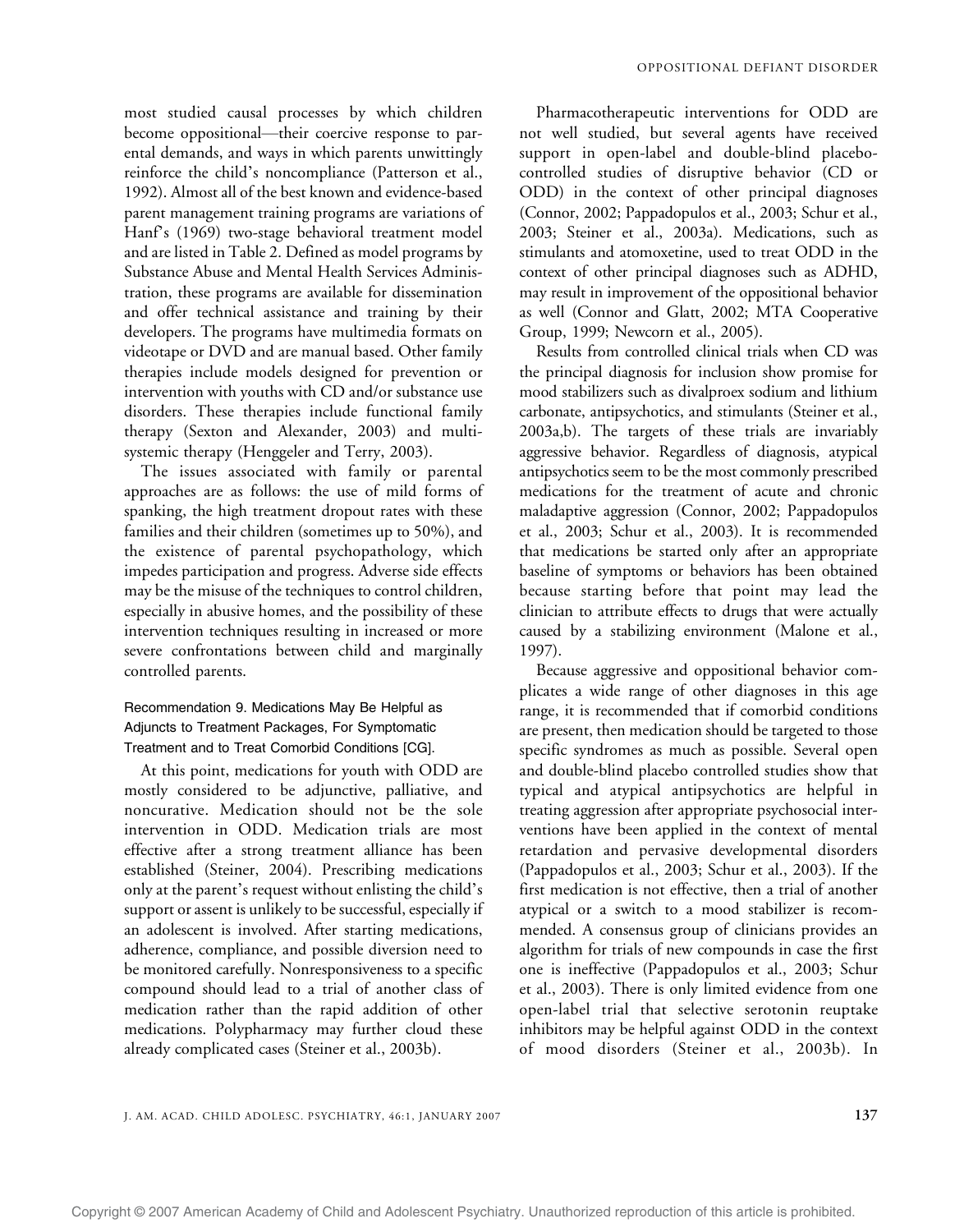most studied causal processes by which children become oppositional—their coercive response to parental demands, and ways in which parents unwittingly reinforce the child's noncompliance (Patterson et al., 1992). Almost all of the best known and evidence-based parent management training programs are variations of Hanf's (1969) two-stage behavioral treatment model and are listed in Table 2. Defined as model programs by Substance Abuse and Mental Health Services Administration, these programs are available for dissemination and offer technical assistance and training by their developers. The programs have multimedia formats on videotape or DVD and are manual based. Other family therapies include models designed for prevention or intervention with youths with CD and/or substance use disorders. These therapies include functional family therapy (Sexton and Alexander, 2003) and multisystemic therapy (Henggeler and Terry, 2003).

The issues associated with family or parental approaches are as follows: the use of mild forms of spanking, the high treatment dropout rates with these families and their children (sometimes up to 50%), and the existence of parental psychopathology, which impedes participation and progress. Adverse side effects may be the misuse of the techniques to control children, especially in abusive homes, and the possibility of these intervention techniques resulting in increased or more severe confrontations between child and marginally controlled parents.

# Recommendation 9. Medications May Be Helpful as Adjuncts to Treatment Packages, For Symptomatic Treatment and to Treat Comorbid Conditions [CG].

At this point, medications for youth with ODD are mostly considered to be adjunctive, palliative, and noncurative. Medication should not be the sole intervention in ODD. Medication trials are most effective after a strong treatment alliance has been established (Steiner, 2004). Prescribing medications only at the parent's request without enlisting the child's support or assent is unlikely to be successful, especially if an adolescent is involved. After starting medications, adherence, compliance, and possible diversion need to be monitored carefully. Nonresponsiveness to a specific compound should lead to a trial of another class of medication rather than the rapid addition of other medications. Polypharmacy may further cloud these already complicated cases (Steiner et al., 2003b).

Pharmacotherapeutic interventions for ODD are not well studied, but several agents have received support in open-label and double-blind placebocontrolled studies of disruptive behavior (CD or ODD) in the context of other principal diagnoses (Connor, 2002; Pappadopulos et al., 2003; Schur et al., 2003; Steiner et al., 2003a). Medications, such as stimulants and atomoxetine, used to treat ODD in the context of other principal diagnoses such as ADHD, may result in improvement of the oppositional behavior as well (Connor and Glatt, 2002; MTA Cooperative Group, 1999; Newcorn et al., 2005).

Results from controlled clinical trials when CD was the principal diagnosis for inclusion show promise for mood stabilizers such as divalproex sodium and lithium carbonate, antipsychotics, and stimulants (Steiner et al., 2003a,b). The targets of these trials are invariably aggressive behavior. Regardless of diagnosis, atypical antipsychotics seem to be the most commonly prescribed medications for the treatment of acute and chronic maladaptive aggression (Connor, 2002; Pappadopulos et al., 2003; Schur et al., 2003). It is recommended that medications be started only after an appropriate baseline of symptoms or behaviors has been obtained because starting before that point may lead the clinician to attribute effects to drugs that were actually caused by a stabilizing environment (Malone et al., 1997).

Because aggressive and oppositional behavior complicates a wide range of other diagnoses in this age range, it is recommended that if comorbid conditions are present, then medication should be targeted to those specific syndromes as much as possible. Several open and double-blind placebo controlled studies show that typical and atypical antipsychotics are helpful in treating aggression after appropriate psychosocial interventions have been applied in the context of mental retardation and pervasive developmental disorders (Pappadopulos et al., 2003; Schur et al., 2003). If the first medication is not effective, then a trial of another atypical or a switch to a mood stabilizer is recommended. A consensus group of clinicians provides an algorithm for trials of new compounds in case the first one is ineffective (Pappadopulos et al., 2003; Schur et al., 2003). There is only limited evidence from one open-label trial that selective serotonin reuptake inhibitors may be helpful against ODD in the context of mood disorders (Steiner et al., 2003b). In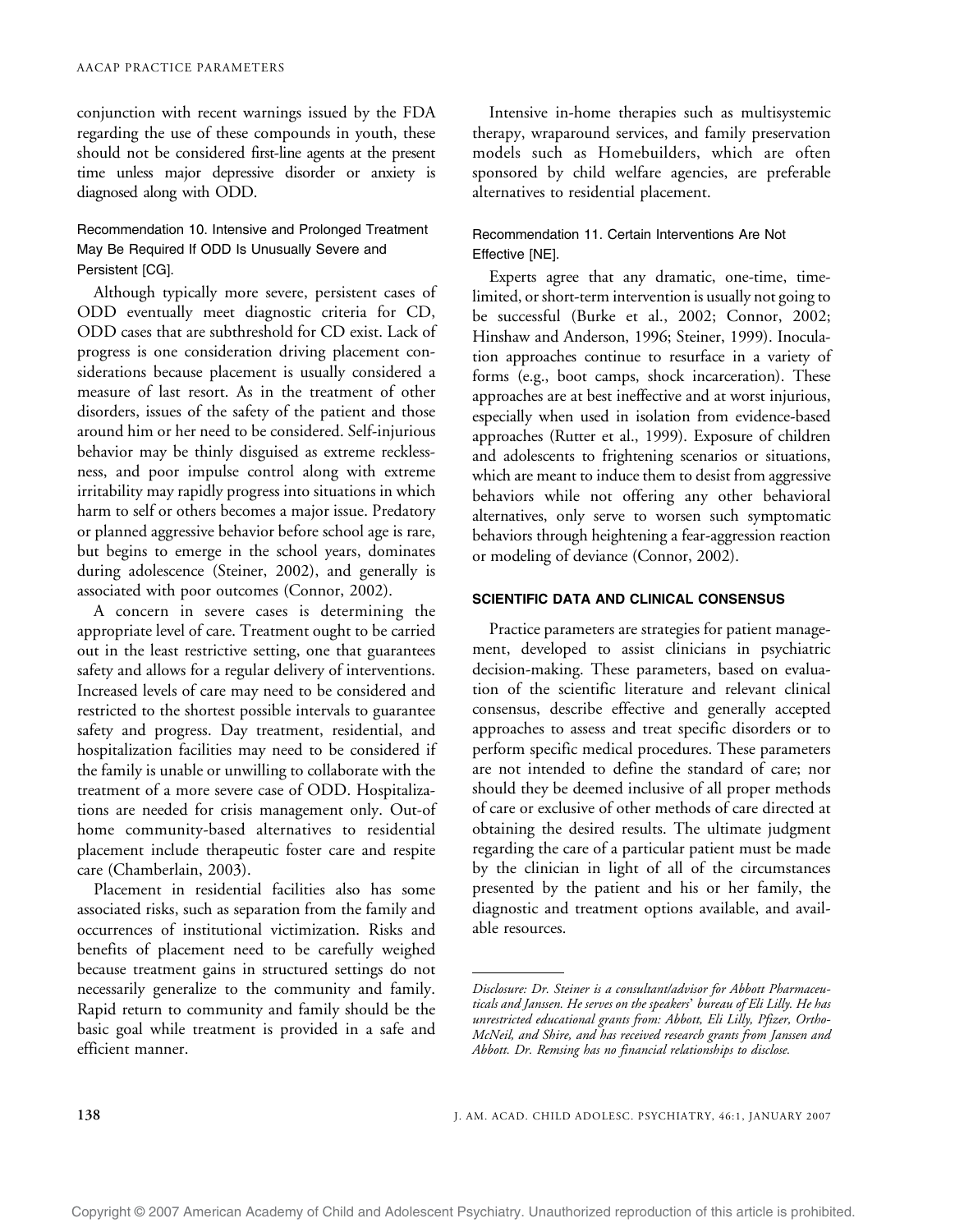conjunction with recent warnings issued by the FDA regarding the use of these compounds in youth, these should not be considered first-line agents at the present time unless major depressive disorder or anxiety is diagnosed along with ODD.

# Recommendation 10. Intensive and Prolonged Treatment May Be Required If ODD Is Unusually Severe and Persistent [CG].

Although typically more severe, persistent cases of ODD eventually meet diagnostic criteria for CD, ODD cases that are subthreshold for CD exist. Lack of progress is one consideration driving placement considerations because placement is usually considered a measure of last resort. As in the treatment of other disorders, issues of the safety of the patient and those around him or her need to be considered. Self-injurious behavior may be thinly disguised as extreme recklessness, and poor impulse control along with extreme irritability may rapidly progress into situations in which harm to self or others becomes a major issue. Predatory or planned aggressive behavior before school age is rare, but begins to emerge in the school years, dominates during adolescence (Steiner, 2002), and generally is associated with poor outcomes (Connor, 2002).

A concern in severe cases is determining the appropriate level of care. Treatment ought to be carried out in the least restrictive setting, one that guarantees safety and allows for a regular delivery of interventions. Increased levels of care may need to be considered and restricted to the shortest possible intervals to guarantee safety and progress. Day treatment, residential, and hospitalization facilities may need to be considered if the family is unable or unwilling to collaborate with the treatment of a more severe case of ODD. Hospitalizations are needed for crisis management only. Out-of home community-based alternatives to residential placement include therapeutic foster care and respite care (Chamberlain, 2003).

Placement in residential facilities also has some associated risks, such as separation from the family and occurrences of institutional victimization. Risks and benefits of placement need to be carefully weighed because treatment gains in structured settings do not necessarily generalize to the community and family. Rapid return to community and family should be the basic goal while treatment is provided in a safe and efficient manner.

Intensive in-home therapies such as multisystemic therapy, wraparound services, and family preservation models such as Homebuilders, which are often sponsored by child welfare agencies, are preferable alternatives to residential placement.

# Recommendation 11. Certain Interventions Are Not Effective [NE].

Experts agree that any dramatic, one-time, timelimited, or short-term intervention is usually not going to be successful (Burke et al., 2002; Connor, 2002; Hinshaw and Anderson, 1996; Steiner, 1999). Inoculation approaches continue to resurface in a variety of forms (e.g., boot camps, shock incarceration). These approaches are at best ineffective and at worst injurious, especially when used in isolation from evidence-based approaches (Rutter et al., 1999). Exposure of children and adolescents to frightening scenarios or situations, which are meant to induce them to desist from aggressive behaviors while not offering any other behavioral alternatives, only serve to worsen such symptomatic behaviors through heightening a fear-aggression reaction or modeling of deviance (Connor, 2002).

## SCIENTIFIC DATA AND CLINICAL CONSENSUS

Practice parameters are strategies for patient management, developed to assist clinicians in psychiatric decision-making. These parameters, based on evaluation of the scientific literature and relevant clinical consensus, describe effective and generally accepted approaches to assess and treat specific disorders or to perform specific medical procedures. These parameters are not intended to define the standard of care; nor should they be deemed inclusive of all proper methods of care or exclusive of other methods of care directed at obtaining the desired results. The ultimate judgment regarding the care of a particular patient must be made by the clinician in light of all of the circumstances presented by the patient and his or her family, the diagnostic and treatment options available, and available resources.

Disclosure: Dr. Steiner is a consultant/advisor for Abbott Pharmaceuticals and Janssen. He serves on the speakers' bureau of Eli Lilly. He has unrestricted educational grants from: Abbott, Eli Lilly, Pfizer, Ortho-McNeil, and Shire, and has received research grants from Janssen and Abbott. Dr. Remsing has no financial relationships to disclose.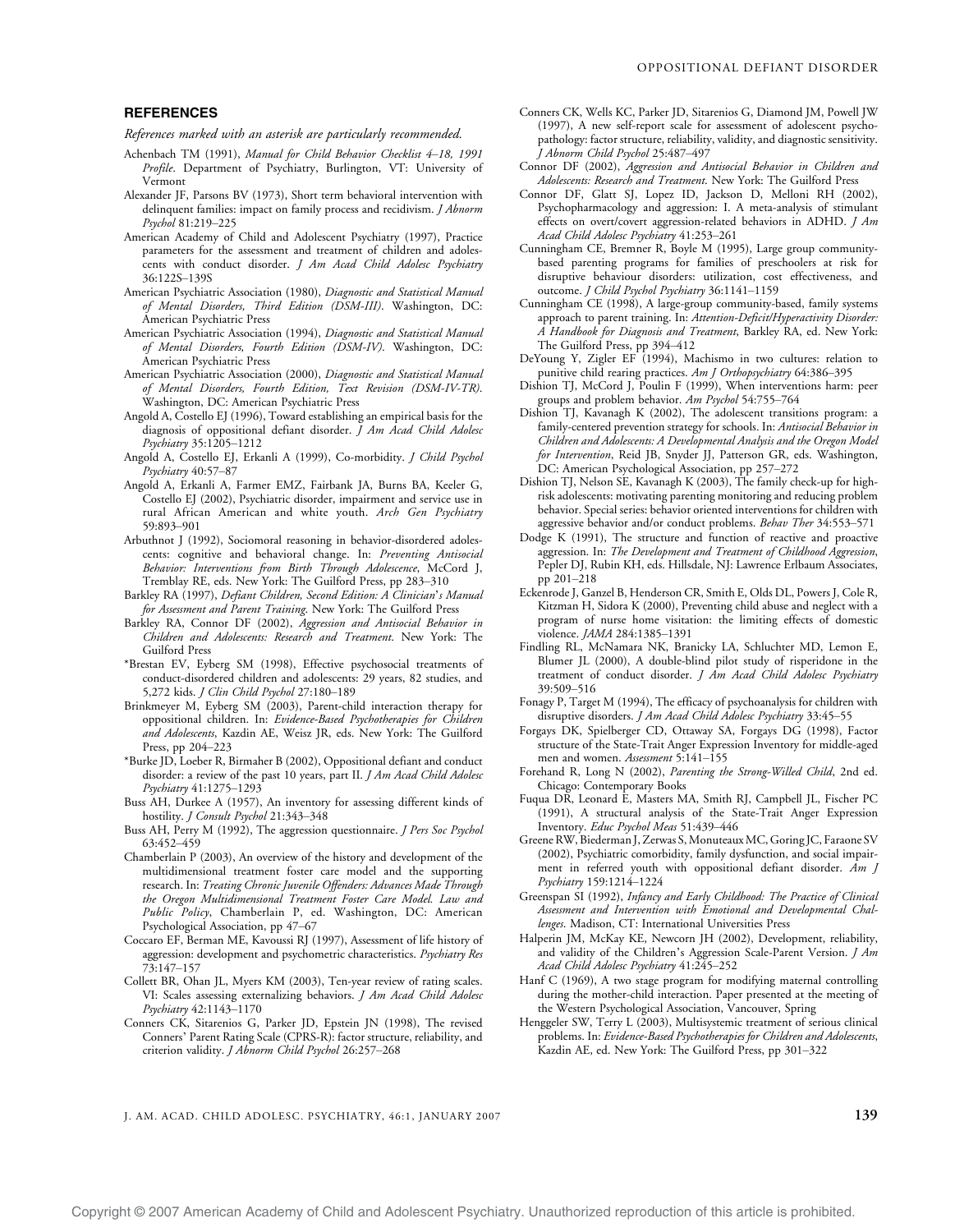#### **REFERENCES**

References marked with an asterisk are particularly recommended.

- Achenbach TM (1991), Manual for Child Behavior Checklist 4-18, 1991 Profile. Department of Psychiatry, Burlington, VT: University of Vermont
- Alexander JF, Parsons BV (1973), Short term behavioral intervention with delinquent families: impact on family process and recidivism. *J Abnorm* Psychol 81:219-225
- American Academy of Child and Adolescent Psychiatry (1997), Practice parameters for the assessment and treatment of children and adolescents with conduct disorder. J Am Acad Child Adolesc Psychiatry 36:122S-139S
- American Psychiatric Association (1980), Diagnostic and Statistical Manual of Mental Disorders, Third Edition (DSM-III). Washington, DC: American Psychiatric Press
- American Psychiatric Association (1994), Diagnostic and Statistical Manual of Mental Disorders, Fourth Edition (DSM-IV). Washington, DC: American Psychiatric Press
- American Psychiatric Association (2000), Diagnostic and Statistical Manual of Mental Disorders, Fourth Edition, Text Revision (DSM-IV-TR). Washington, DC: American Psychiatric Press
- Angold A, Costello EJ (1996), Toward establishing an empirical basis for the diagnosis of oppositional defiant disorder. J Am Acad Child Adolesc Psychiatry 35:1205-1212
- Angold A, Costello EJ, Erkanli A (1999), Co-morbidity. J Child Psychol Psychiatry 40:57-87
- Angold A, Erkanli A, Farmer EMZ, Fairbank JA, Burns BA, Keeler G, Costello EJ (2002), Psychiatric disorder, impairment and service use in rural African American and white youth. Arch Gen Psychiatry 59:893-901
- Arbuthnot J (1992), Sociomoral reasoning in behavior-disordered adolescents: cognitive and behavioral change. In: Preventing Antisocial Behavior: Interventions from Birth Through Adolescence, McCord J, Tremblay RE, eds. New York: The Guilford Press, pp 283-310
- Barkley RA (1997), Defiant Children, Second Edition: A Clinician's Manual for Assessment and Parent Training. New York: The Guilford Press
- Barkley RA, Connor DF (2002), Aggression and Antisocial Behavior in Children and Adolescents: Research and Treatment. New York: The Guilford Press
- \*Brestan EV, Eyberg SM (1998), Effective psychosocial treatments of conduct-disordered children and adolescents: 29 years, 82 studies, and 5,272 kids. J Clin Child Psychol 27:180-189
- Brinkmeyer M, Eyberg SM (2003), Parent-child interaction therapy for oppositional children. In: Evidence-Based Psychotherapies for Children and Adolescents, Kazdin AE, Weisz JR, eds. New York: The Guilford Press, pp 204-223
- \*Burke JD, Loeber R, Birmaher B (2002), Oppositional defiant and conduct disorder: a review of the past 10 years, part II. J Am Acad Child Adolesc Psychiatry 41:1275-1293
- Buss AH, Durkee A (1957), An inventory for assessing different kinds of hostility. J Consult Psychol 21:343-348
- Buss AH, Perry M (1992), The aggression questionnaire. J Pers Soc Psychol 63:452-459
- Chamberlain P (2003), An overview of the history and development of the multidimensional treatment foster care model and the supporting research. In: Treating Chronic Juvenile Offenders: Advances Made Through the Oregon Multidimensional Treatment Foster Care Model. Law and Public Policy, Chamberlain P, ed. Washington, DC: American Psychological Association, pp 47-67
- Coccaro EF, Berman ME, Kavoussi RJ (1997), Assessment of life history of aggression: development and psychometric characteristics. Psychiatry Res 73:147-157
- Collett BR, Ohan JL, Myers KM (2003), Ten-year review of rating scales. VI: Scales assessing externalizing behaviors. J Am Acad Child Adolesc Psychiatry 42:1143-1170
- Conners CK, Sitarenios G, Parker JD, Epstein JN (1998), The revised Conners' Parent Rating Scale (CPRS-R): factor structure, reliability, and criterion validity. J Abnorm Child Psychol 26:257-268
- Conners CK, Wells KC, Parker JD, Sitarenios G, Diamond JM, Powell JW (1997), A new self-report scale for assessment of adolescent psychopathology: factor structure, reliability, validity, and diagnostic sensitivity. J Abnorm Child Psychol 25:487-497
- Connor DF (2002), Aggression and Antisocial Behavior in Children and Adolescents: Research and Treatment. New York: The Guilford Press
- Connor DF, Glatt SJ, Lopez ID, Jackson D, Melloni RH (2002), Psychopharmacology and aggression: I. A meta-analysis of stimulant effects on overt/covert aggression-related behaviors in ADHD. J Am Acad Child Adolesc Psychiatry 41:253–261
- Cunningham CE, Bremner R, Boyle M (1995), Large group communitybased parenting programs for families of preschoolers at risk for disruptive behaviour disorders: utilization, cost effectiveness, and outcome. J Child Psychol Psychiatry 36:1141-1159
- Cunningham CE (1998), A large-group community-based, family systems approach to parent training. In: Attention-Deficit/Hyperactivity Disorder: A Handbook for Diagnosis and Treatment, Barkley RA, ed. New York: The Guilford Press, pp 394–412
- DeYoung Y, Zigler EF (1994), Machismo in two cultures: relation to punitive child rearing practices. Am J Orthopsychiatry 64:386-395
- Dishion TJ, McCord J, Poulin F (1999), When interventions harm: peer groups and problem behavior. Am Psychol 54:755-764
- Dishion TJ, Kavanagh K (2002), The adolescent transitions program: a family-centered prevention strategy for schools. In: Antisocial Behavior in Children and Adolescents: A Developmental Analysis and the Oregon Model for Intervention, Reid JB, Snyder JJ, Patterson GR, eds. Washington, DC: American Psychological Association, pp 257-272
- Dishion TJ, Nelson SE, Kavanagh K (2003), The family check-up for highrisk adolescents: motivating parenting monitoring and reducing problem behavior. Special series: behavior oriented interventions for children with aggressive behavior and/or conduct problems. Behav Ther 34:553-571
- Dodge K (1991), The structure and function of reactive and proactive aggression. In: The Development and Treatment of Childhood Aggression, Pepler DJ, Rubin KH, eds. Hillsdale, NJ: Lawrence Erlbaum Associates,  $pp$  201-218
- Eckenrode J, Ganzel B, Henderson CR, Smith E, Olds DL, Powers J, Cole R, Kitzman H, Sidora K (2000), Preventing child abuse and neglect with a program of nurse home visitation: the limiting effects of domestic violence. JAMA 284:1385-1391
- Findling RL, McNamara NK, Branicky LA, Schluchter MD, Lemon E, Blumer JL (2000), A double-blind pilot study of risperidone in the treatment of conduct disorder. J Am Acad Child Adolesc Psychiatry 39:509-516
- Fonagy P, Target M (1994), The efficacy of psychoanalysis for children with disruptive disorders. J Am Acad Child Adolesc Psychiatry 33:45-55
- Forgays DK, Spielberger CD, Ottaway SA, Forgays DG (1998), Factor structure of the State-Trait Anger Expression Inventory for middle-aged men and women. Assessment 5:141-155
- Forehand R, Long N (2002), Parenting the Strong-Willed Child, 2nd ed. Chicago: Contemporary Books
- Fuqua DR, Leonard E, Masters MA, Smith RJ, Campbell JL, Fischer PC (1991), A structural analysis of the State-Trait Anger Expression Inventory. Educ Psychol Meas 51:439-446
- Greene RW, Biederman J, Zerwas S, Monuteaux MC, Goring JC, Faraone SV (2002), Psychiatric comorbidity, family dysfunction, and social impairment in referred youth with oppositional defiant disorder. Am J Psychiatry 159:1214-1224
- Greenspan SI (1992), Infancy and Early Childhood: The Practice of Clinical Assessment and Intervention with Emotional and Developmental Challenges. Madison, CT: International Universities Press
- Halperin JM, McKay KE, Newcorn JH (2002), Development, reliability, and validity of the Children's Aggression Scale-Parent Version.  $J$  Am Acad Child Adolesc Psychiatry 41:245-252
- Hanf C (1969), A two stage program for modifying maternal controlling during the mother-child interaction. Paper presented at the meeting of the Western Psychological Association, Vancouver, Spring
- Henggeler SW, Terry L (2003), Multisystemic treatment of serious clinical problems. In: Evidence-Based Psychotherapies for Children and Adolescents, Kazdin AE, ed. New York: The Guilford Press, pp 301-322

J. AM. ACAD. CHILD ADOLESC. PSYCHIATRY, 46:1, JANUARY 2007 139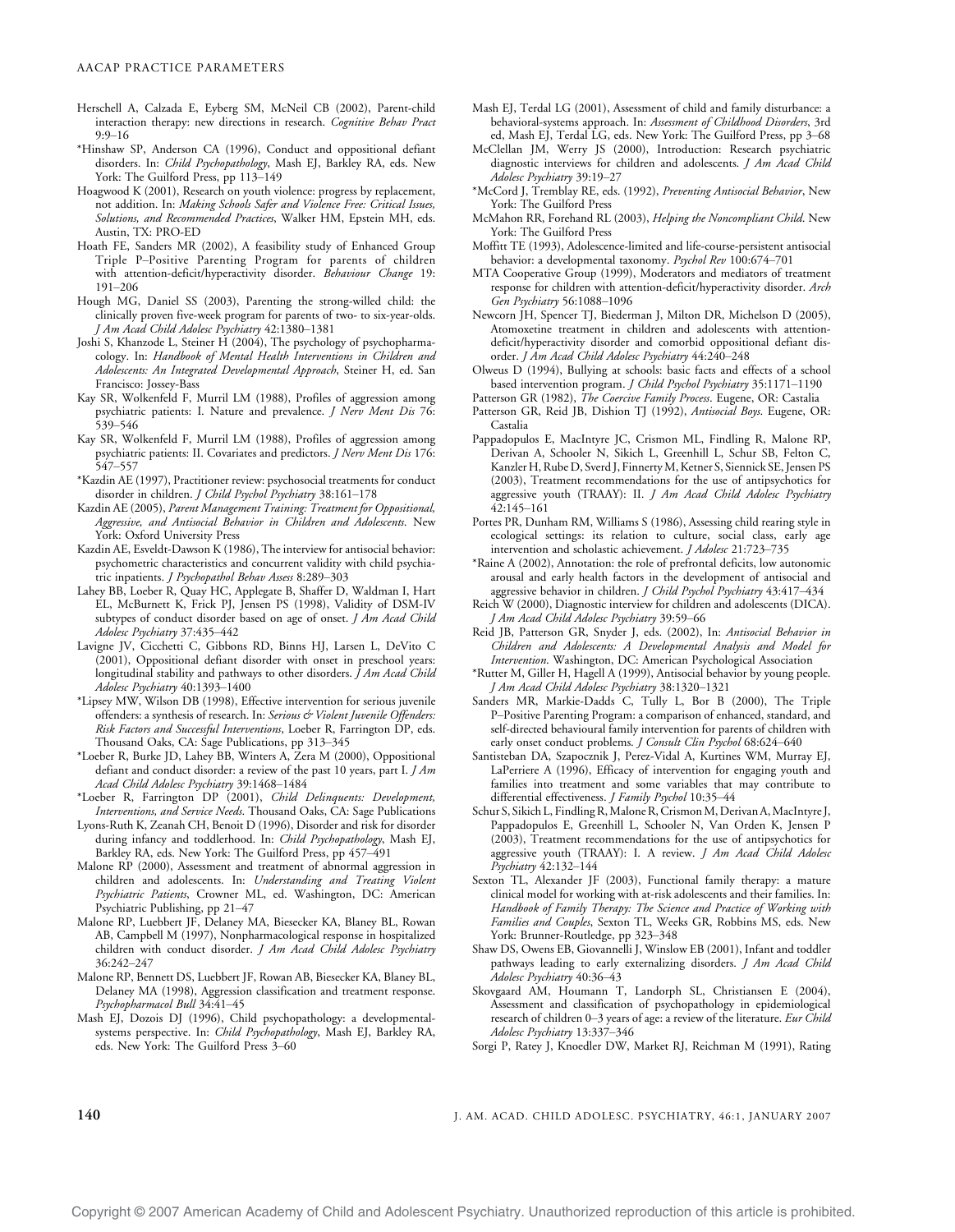- Herschell A, Calzada E, Eyberg SM, McNeil CB (2002), Parent-child interaction therapy: new directions in research. Cognitive Behav Pract  $9:9 - 16$
- \*Hinshaw SP, Anderson CA (1996), Conduct and oppositional defiant disorders. In: Child Psychopathology, Mash EJ, Barkley RA, eds. New York: The Guilford Press, pp 113-149
- Hoagwood K (2001), Research on youth violence: progress by replacement, not addition. In: Making Schools Safer and Violence Free: Critical Issues, Solutions, and Recommended Practices, Walker HM, Epstein MH, eds. Austin, TX: PRO-ED
- Hoath FE, Sanders MR (2002), A feasibility study of Enhanced Group Triple P-Positive Parenting Program for parents of children with attention-deficit/hyperactivity disorder. Behaviour Change 19: 191-206
- Hough MG, Daniel SS (2003), Parenting the strong-willed child: the clinically proven five-week program for parents of two- to six-year-olds. J Am Acad Child Adolesc Psychiatry 42:1380-1381
- Joshi S, Khanzode L, Steiner H (2004), The psychology of psychopharmacology. In: Handbook of Mental Health Interventions in Children and Adolescents: An Integrated Developmental Approach, Steiner H, ed. San Francisco: Jossey-Bass
- Kay SR, Wolkenfeld F, Murril LM (1988), Profiles of aggression among psychiatric patients: I. Nature and prevalence. *J Nerv Ment Dis* 76: 539-546
- Kay SR, Wolkenfeld F, Murril LM (1988), Profiles of aggression among psychiatric patients: II. Covariates and predictors. *J Nerv Ment Dis* 176: 547-557
- \*Kazdin AE (1997), Practitioner review: psychosocial treatments for conduct disorder in children. J Child Psychol Psychiatry 38:161-178
- Kazdin AE (2005), Parent Management Training: Treatment for Oppositional, Aggressive, and Antisocial Behavior in Children and Adolescents. New York: Oxford University Press
- Kazdin AE, Esveldt-Dawson K (1986), The interview for antisocial behavior: psychometric characteristics and concurrent validity with child psychiatric inpatients. J Psychopathol Behav Assess 8:289-303
- Lahey BB, Loeber R, Quay HC, Applegate B, Shaffer D, Waldman I, Hart EL, McBurnett K, Frick PJ, Jensen PS (1998), Validity of DSM-IV subtypes of conduct disorder based on age of onset. J Am Acad Child Adolesc Psychiatry 37:435-442
- Lavigne JV, Cicchetti C, Gibbons RD, Binns HJ, Larsen L, DeVito C (2001), Oppositional defiant disorder with onset in preschool years: longitudinal stability and pathways to other disorders. *J Am Acad Child* Adolesc Psychiatry 40:1393-1400
- \*Lipsey MW, Wilson DB (1998), Effective intervention for serious juvenile offenders: a synthesis of research. In: Serious & Violent Juvenile Offenders: Risk Factors and Successful Interventions, Loeber R, Farrington DP, eds. Thousand Oaks, CA: Sage Publications, pp 313-345
- \*Loeber R, Burke JD, Lahey BB, Winters A, Zera M (2000), Oppositional defiant and conduct disorder: a review of the past 10 years, part I. *J Am* Acad Child Adolesc Psychiatry 39:1468-1484
- \*Loeber R, Farrington DP (2001), Child Delinquents: Development, Interventions, and Service Needs. Thousand Oaks, CA: Sage Publications
- Lyons-Ruth K, Zeanah CH, Benoit D (1996), Disorder and risk for disorder during infancy and toddlerhood. In: Child Psychopathology, Mash EJ, Barkley RA, eds. New York: The Guilford Press, pp 457-491
- Malone RP (2000), Assessment and treatment of abnormal aggression in children and adolescents. In: Understanding and Treating Violent Psychiatric Patients, Crowner ML, ed. Washington, DC: American Psychiatric Publishing, pp 21-47
- Malone RP, Luebbert JF, Delaney MA, Biesecker KA, Blaney BL, Rowan AB, Campbell M (1997), Nonpharmacological response in hospitalized children with conduct disorder. J Am Acad Child Adolesc Psychiatry 36:242-247
- Malone RP, Bennett DS, Luebbert JF, Rowan AB, Biesecker KA, Blaney BL, Delaney MA (1998), Aggression classification and treatment response. Psychopharmacol Bull 34:41-45
- Mash EJ, Dozois DJ (1996), Child psychopathology: a developmentalsystems perspective. In: Child Psychopathology, Mash EJ, Barkley RA, eds. New York: The Guilford Press 3-60
- Mash EJ, Terdal LG (2001), Assessment of child and family disturbance: a behavioral-systems approach. In: Assessment of Childhood Disorders, 3rd ed, Mash EJ, Terdal LG, eds. New York: The Guilford Press, pp 3-68
- McClellan JM, Werry JS (2000), Introduction: Research psychiatric diagnostic interviews for children and adolescents. J Am Acad Child Adolesc Psychiatry 39:19-27
- \*McCord J, Tremblay RE, eds. (1992), Preventing Antisocial Behavior, New York: The Guilford Press
- McMahon RR, Forehand RL (2003), Helping the Noncompliant Child. New York: The Guilford Press
- Moffitt TE (1993), Adolescence-limited and life-course-persistent antisocial behavior: a developmental taxonomy. Psychol Rev 100:674-701
- MTA Cooperative Group (1999), Moderators and mediators of treatment response for children with attention-deficit/hyperactivity disorder. Arch Gen Psychiatry 56:1088-1096
- Newcorn JH, Spencer TJ, Biederman J, Milton DR, Michelson D (2005), Atomoxetine treatment in children and adolescents with attentiondeficit/hyperactivity disorder and comorbid oppositional defiant disorder. J Am Acad Child Adolesc Psychiatry 44:240-248
- Olweus D (1994), Bullying at schools: basic facts and effects of a school based intervention program. J Child Psychol Psychiatry 35:1171-1190
- Patterson GR (1982), The Coercive Family Process. Eugene, OR: Castalia
- Patterson GR, Reid JB, Dishion TJ (1992), Antisocial Boys. Eugene, OR: Castalia
- Pappadopulos E, MacIntyre JC, Crismon ML, Findling R, Malone RP, Derivan A, Schooler N, Sikich L, Greenhill L, Schur SB, Felton C, Kanzler H, Rube D, Sverd J, Finnerty M, Ketner S, Siennick SE, Jensen PS (2003), Treatment recommendations for the use of antipsychotics for aggressive youth (TRAAY): II. J Am Acad Child Adolesc Psychiatry 42:145-161
- Portes PR, Dunham RM, Williams S (1986), Assessing child rearing style in ecological settings: its relation to culture, social class, early age intervention and scholastic achievement. *J Adolesc* 21:723-735
- \*Raine A (2002), Annotation: the role of prefrontal deficits, low autonomic arousal and early health factors in the development of antisocial and aggressive behavior in children. J Child Psychol Psychiatry 43:417-434
- Reich W (2000), Diagnostic interview for children and adolescents (DICA). J Am Acad Child Adolesc Psychiatry 39:59-66
- Reid JB, Patterson GR, Snyder J, eds. (2002), In: Antisocial Behavior in Children and Adolescents: A Developmental Analysis and Model for Intervention. Washington, DC: American Psychological Association
- \*Rutter M, Giller H, Hagell A (1999), Antisocial behavior by young people. J Am Acad Child Adolesc Psychiatry 38:1320-1321
- Sanders MR, Markie-Dadds C, Tully L, Bor B (2000), The Triple P-Positive Parenting Program: a comparison of enhanced, standard, and self-directed behavioural family intervention for parents of children with early onset conduct problems. J Consult Clin Psychol 68:624-640
- Santisteban DA, Szapocznik J, Perez-Vidal A, Kurtines WM, Murray EJ, LaPerriere A (1996), Efficacy of intervention for engaging youth and families into treatment and some variables that may contribute to differential effectiveness. J Family Psychol 10:35-44
- Schur S, Sikich L, Findling R, Malone R, Crismon M, Derivan A, MacIntyre J, Pappadopulos E, Greenhill L, Schooler N, Van Orden K, Jensen P (2003), Treatment recommendations for the use of antipsychotics for aggressive youth (TRAAY): I. A review. J Am Acad Child Adolesc Psychiatry 42:132-144
- Sexton TL, Alexander JF (2003), Functional family therapy: a mature clinical model for working with at-risk adolescents and their families. In: Handbook of Family Therapy: The Science and Practice of Working with Families and Couples, Sexton TL, Weeks GR, Robbins MS, eds. New York: Brunner-Routledge, pp 323-348
- Shaw DS, Owens EB, Giovannelli J, Winslow EB (2001), Infant and toddler pathways leading to early externalizing disorders. J Am Acad Child .<br>Adolesc Psychiatry 40:36–43
- Skovgaard AM, Houmann T, Landorph SL, Christiansen E (2004), Assessment and classification of psychopathology in epidemiological research of children 0-3 years of age: a review of the literature. Eur Child Adolesc Psychiatry 13:337-346
- Sorgi P, Ratey J, Knoedler DW, Market RJ, Reichman M (1991), Rating

140 J. AM. ACAD. CHILD ADOLESC. PSYCHIATRY, 46:1, JANUARY 2007